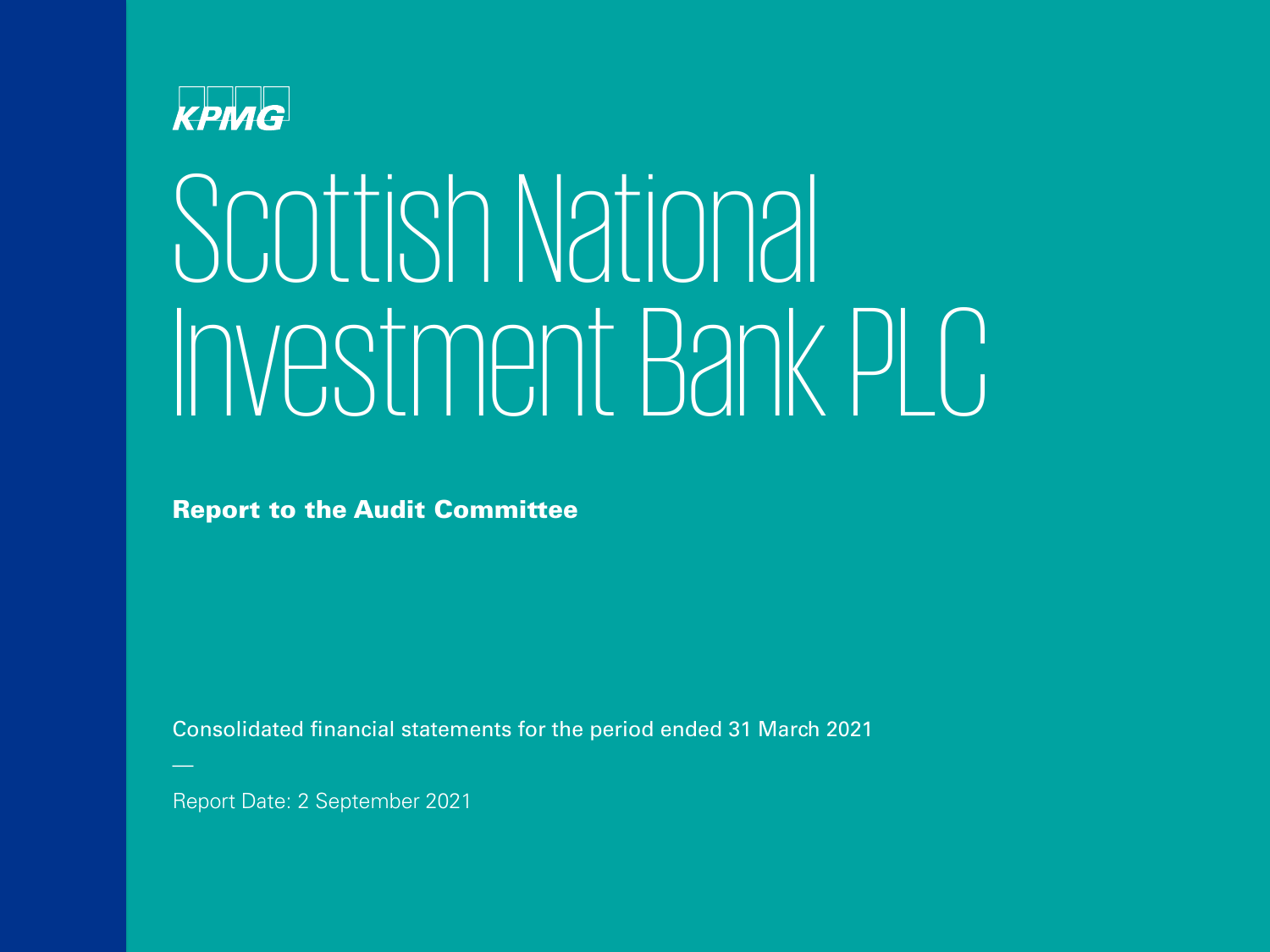

## Scottish National Investment Bank PLC

Report to the Audit Committee

Consolidated financial statements for the period ended 31 March 2021

Report Date: 2 September 2021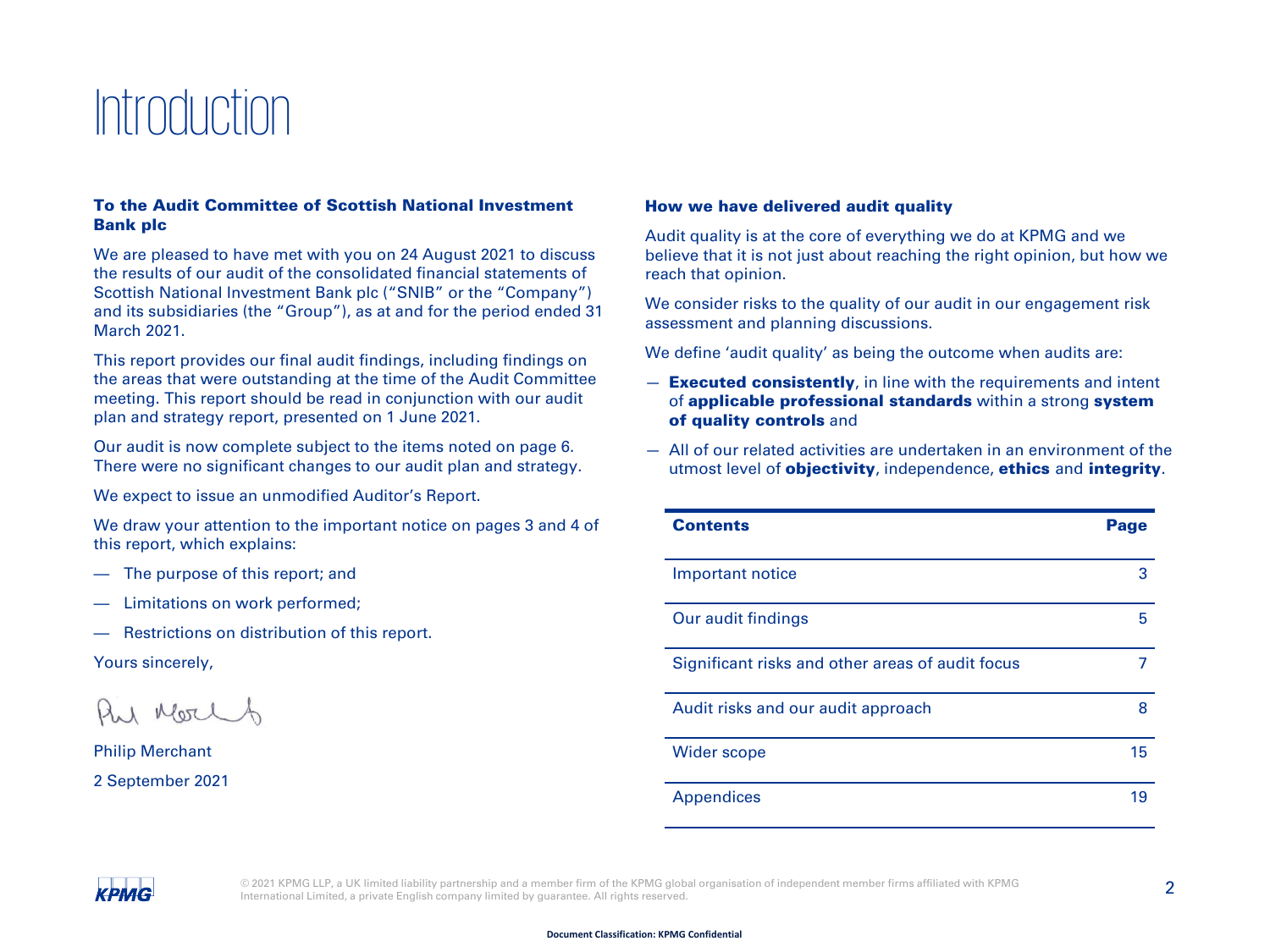### Introduction

#### To the Audit Committee of Scottish National Investment Bank plc

We are pleased to have met with you on 24 August 2021 to discuss the results of our audit of the consolidated financial statements of Scottish National Investment Bank plc ("SNIB" or the "Company") and its subsidiaries (the "Group"), as at and for the period ended 31 March 2021.

This report provides our final audit findings, including findings on the areas that were outstanding at the time of the Audit Committee meeting. This report should be read in conjunction with our audit plan and strategy report, presented on 1 June 2021.

Our audit is now complete subject to the items noted on page 6. There were no significant changes to our audit plan and strategy.

We expect to issue an unmodified Auditor's Report.

We draw your attention to the important notice on pages 3 and 4 of this report, which explains:

- The purpose of this report; and
- Limitations on work performed;
- Restrictions on distribution of this report.

Yours sincerely,

1 Mort

Philip Merchant 2 September 2021

#### How we have delivered audit quality

Audit quality is at the core of everything we do at KPMG and we believe that it is not just about reaching the right opinion, but how we reach that opinion.

We consider risks to the quality of our audit in our engagement risk assessment and planning discussions.

We define 'audit quality' as being the outcome when audits are:

- **Executed consistently**, in line with the requirements and intent of applicable professional standards within a strong [system](#page-2-0)  of quality controls and
- All of our related activities are undertaken in an environment of the utmost level of **objectivity**, independence, **ethics** and *[integrity](#page-18-0)*.

| <b>Contents</b>                                  | Page |
|--------------------------------------------------|------|
| Important notice                                 | 3    |
| Our audit findings                               | 5    |
| Significant risks and other areas of audit focus |      |
| Audit risks and our audit approach               | 8    |
| <b>Wider scope</b>                               | 15   |
| <b>Appendices</b>                                | 19   |

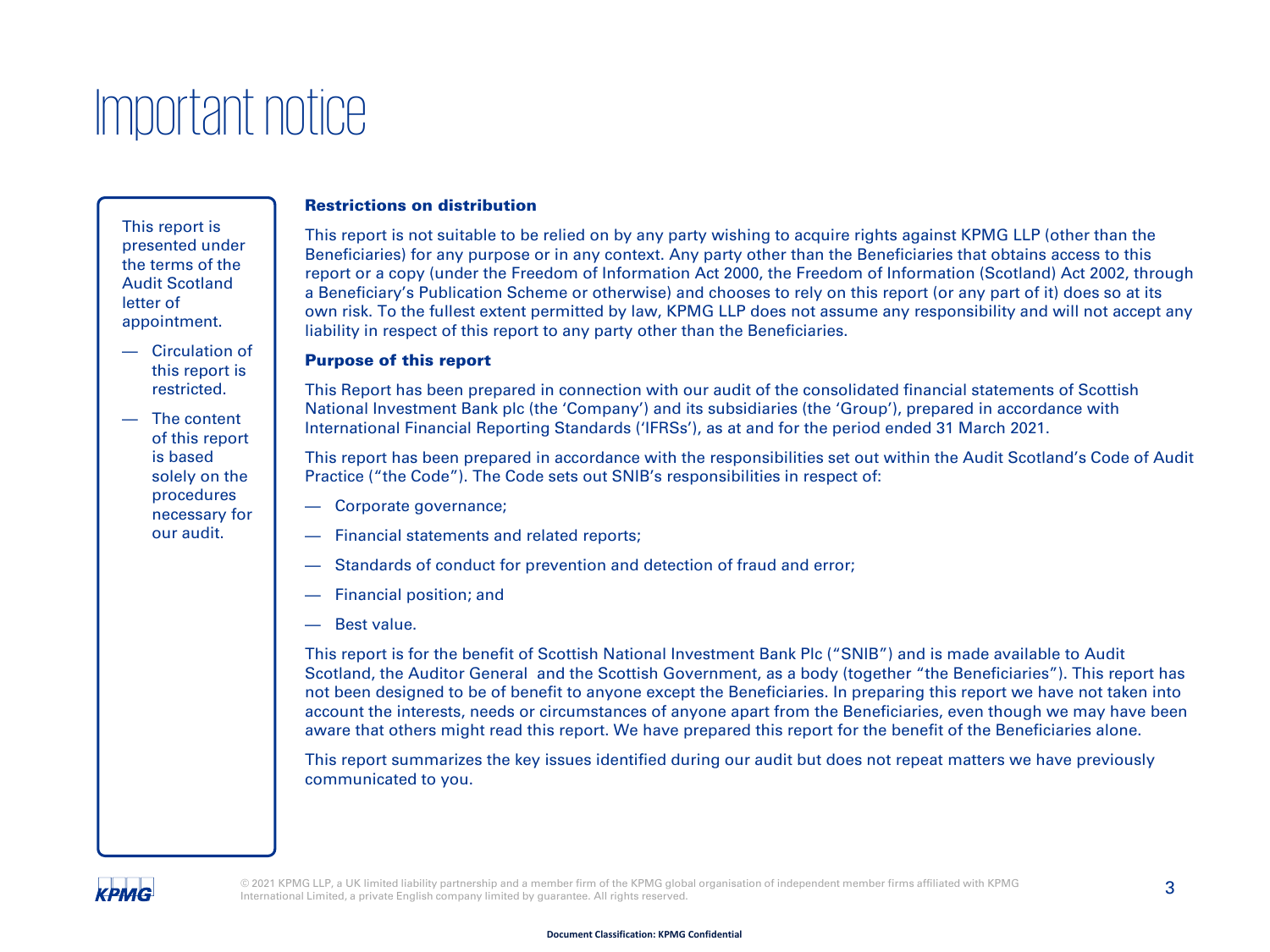### <span id="page-2-0"></span>Important notice

This report is presented under the terms of the Audit Scotland letter of appointment.

- Circulation of this report is restricted.
- The content of this report is based solely on the procedures necessary for our audit.

#### Restrictions on distribution

This report is not suitable to be relied on by any party wishing to acquire rights against KPMG LLP (other than the Beneficiaries) for any purpose or in any context. Any party other than the Beneficiaries that obtains access to this report or a copy (under the Freedom of Information Act 2000, the Freedom of Information (Scotland) Act 2002, through a Beneficiary's Publication Scheme or otherwise) and chooses to rely on this report (or any part of it) does so at its own risk. To the fullest extent permitted by law, KPMG LLP does not assume any responsibility and will not accept any liability in respect of this report to any party other than the Beneficiaries.

#### Purpose of this report

This Report has been prepared in connection with our audit of the consolidated financial statements of Scottish National Investment Bank plc (the 'Company') and its subsidiaries (the 'Group'), prepared in accordance with International Financial Reporting Standards ('IFRSs'), as at and for the period ended 31 March 2021.

This report has been prepared in accordance with the responsibilities set out within the Audit Scotland's Code of Audit Practice ("the Code"). The Code sets out SNIB's responsibilities in respect of:

- Corporate governance;
- Financial statements and related reports;
- Standards of conduct for prevention and detection of fraud and error;
- Financial position; and
- Best value.

This report is for the benefit of Scottish National Investment Bank Plc ("SNIB") and is made available to Audit Scotland, the Auditor General and the Scottish Government, as a body (together "the Beneficiaries"). This report has not been designed to be of benefit to anyone except the Beneficiaries. In preparing this report we have not taken into account the interests, needs or circumstances of anyone apart from the Beneficiaries, even though we may have been aware that others might read this report. We have prepared this report for the benefit of the Beneficiaries alone.

This report summarizes the key issues identified during our audit but does not repeat matters we have previously communicated to you.

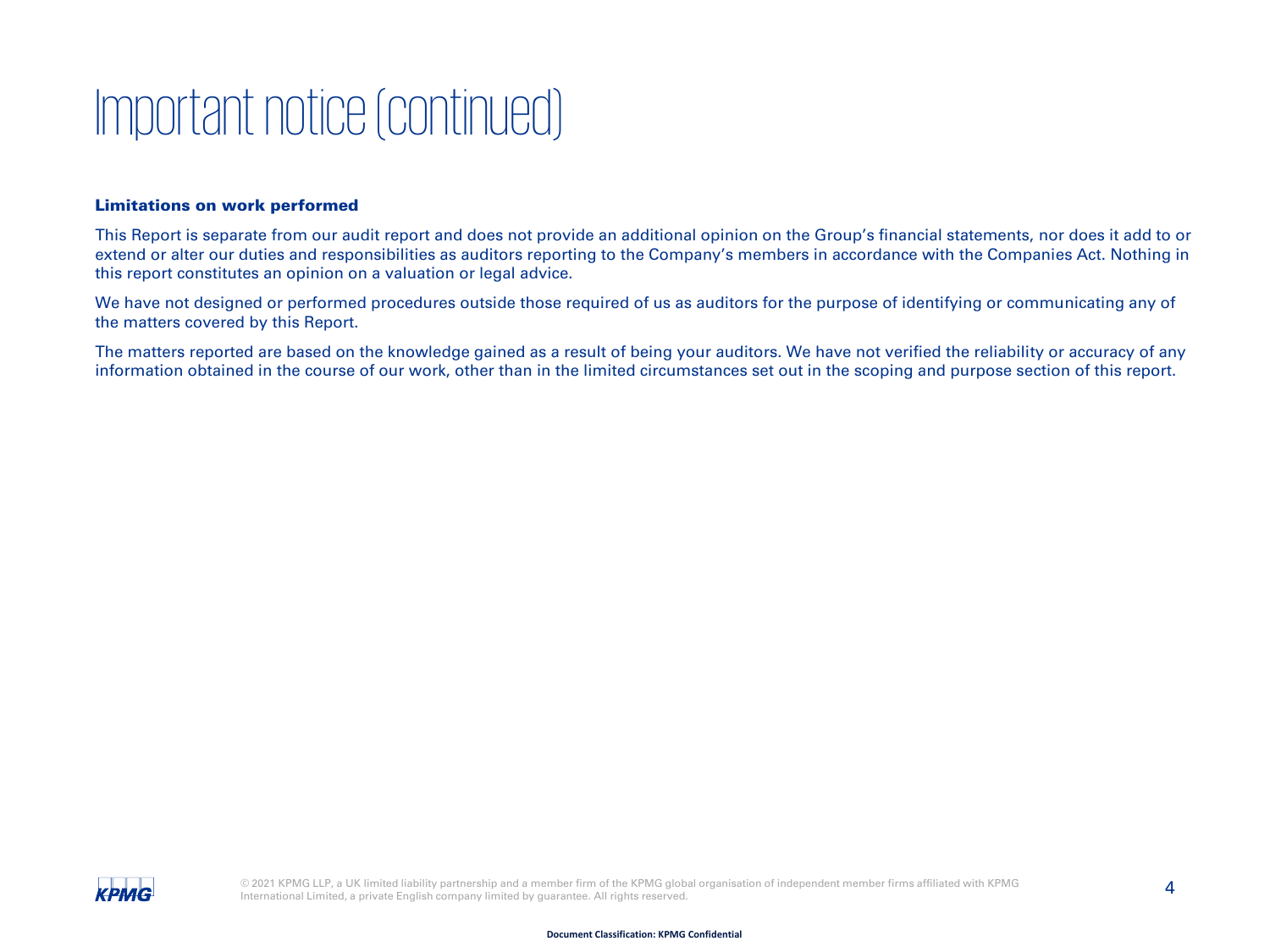### Important notice (continued)

#### Limitations on work performed

This Report is separate from our audit report and does not provide an additional opinion on the Group's financial statements, nor does it add to or extend or alter our duties and responsibilities as auditors reporting to the Company's members in accordance with the Companies Act. Nothing in this report constitutes an opinion on a valuation or legal advice.

We have not designed or performed procedures outside those required of us as auditors for the purpose of identifying or communicating any of the matters covered by this Report.

The matters reported are based on the knowledge gained as a result of being your auditors. We have not verified the reliability or accuracy of any information obtained in the course of our work, other than in the limited circumstances set out in the scoping and purpose section of this report.

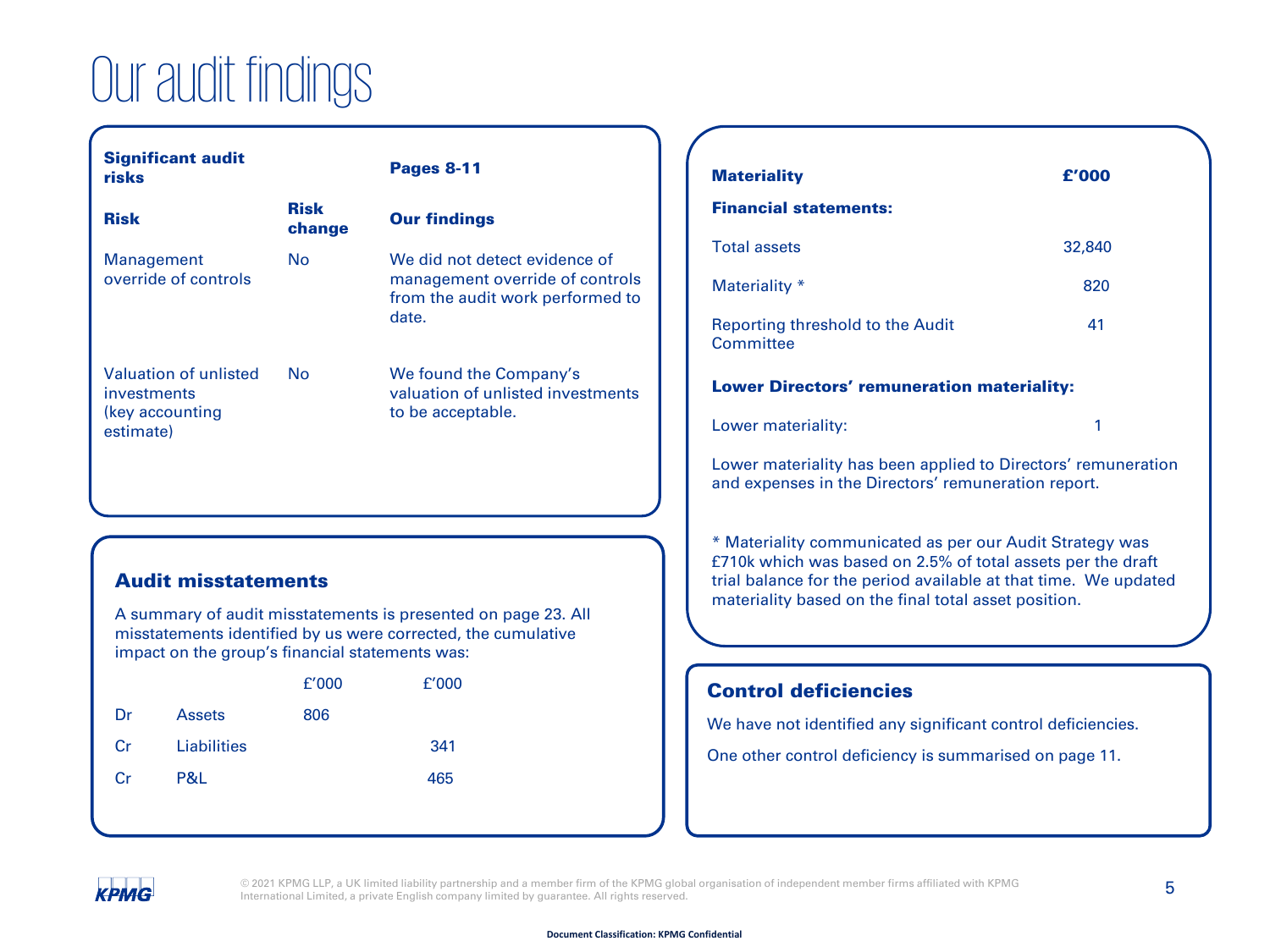### Our audit findings

| <b>Significant audit</b><br>risks  |                       |  |  |
|------------------------------------|-----------------------|--|--|
| <b>Risk</b>                        | <b>Risk</b><br>change |  |  |
| Management<br>override of controls | N٥                    |  |  |

Pages 8-11

#### **Our findings** We did not detect evidence of management override of controls from the audit work performed to date.

We found the Company's valuation of unlisted investments to be acceptable.

#### Audit misstatements

Valuation of unlisted

investments (key accounting estimate)

A summary of audit misstatements is presented on page 23. All misstatements identified by us were corrected, the cumulative impact on the group's financial statements was:

|           |               | f'000 | f'000 |
|-----------|---------------|-------|-------|
| Dr        | <b>Assets</b> | 806   |       |
| <b>Cr</b> | Liabilities   |       | 341   |
| Cr        | P&L           |       | 465   |

No

| <b>Materiality</b>                                                                                                                                                                                                                                 | f'000  |  |  |  |  |
|----------------------------------------------------------------------------------------------------------------------------------------------------------------------------------------------------------------------------------------------------|--------|--|--|--|--|
| <b>Financial statements:</b>                                                                                                                                                                                                                       |        |  |  |  |  |
| <b>Total assets</b>                                                                                                                                                                                                                                | 32,840 |  |  |  |  |
| Materiality *                                                                                                                                                                                                                                      | 820    |  |  |  |  |
| Reporting threshold to the Audit<br>Committee                                                                                                                                                                                                      | 41     |  |  |  |  |
| <b>Lower Directors' remuneration materiality:</b>                                                                                                                                                                                                  |        |  |  |  |  |
| Lower materiality:                                                                                                                                                                                                                                 | 1      |  |  |  |  |
| Lower materiality has been applied to Directors' remuneration<br>and expenses in the Directors' remuneration report.                                                                                                                               |        |  |  |  |  |
| * Materiality communicated as per our Audit Strategy was<br>£710k which was based on 2.5% of total assets per the draft<br>trial balance for the period available at that time. We updated<br>materiality based on the final total asset position. |        |  |  |  |  |

#### Control deficiencies

We have not identified any significant control deficiencies.

One other control deficiency is summarised on page 11.

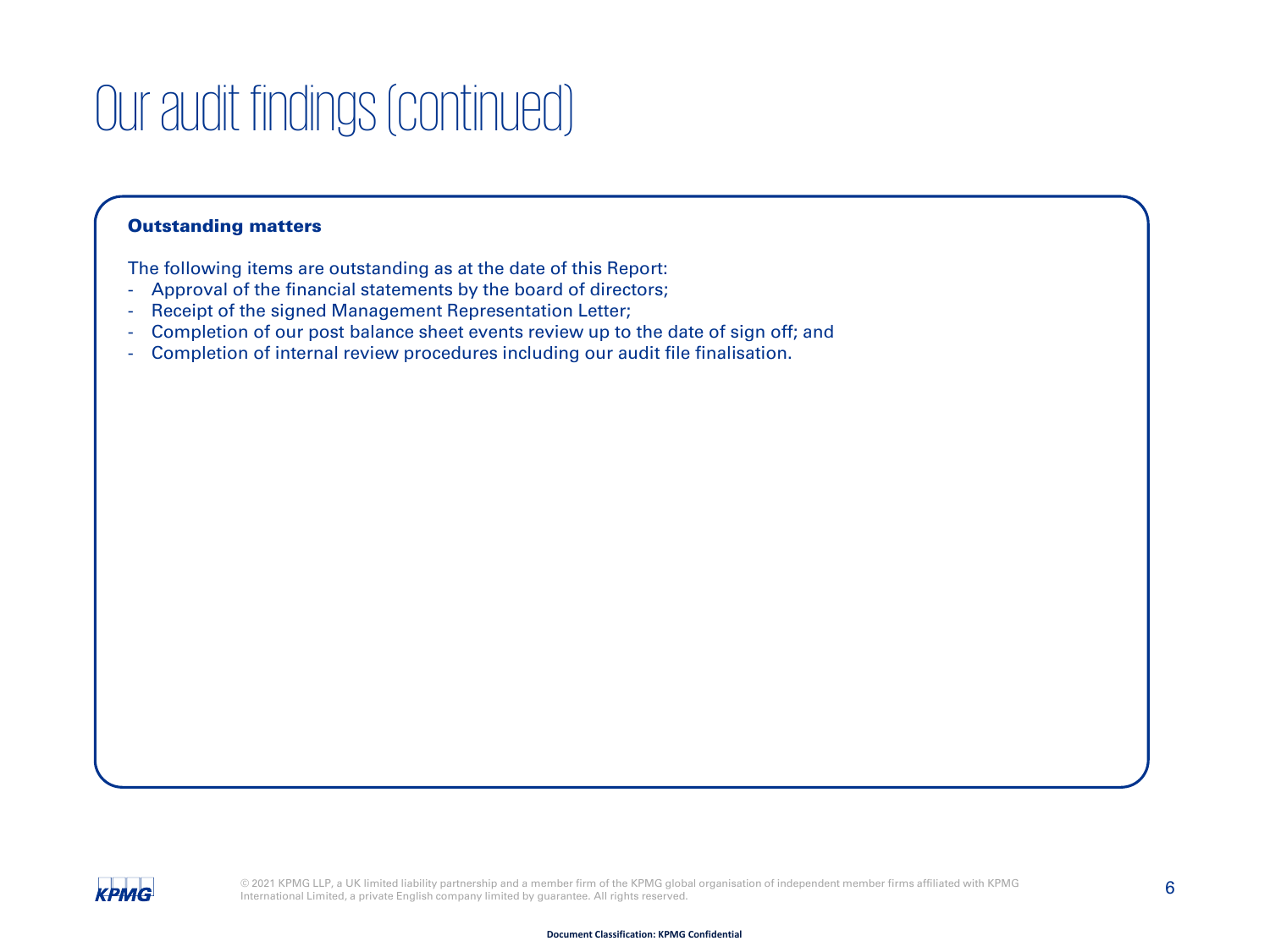### Our audit findings (continued)

#### Outstanding matters

The following items are outstanding as at the date of this Report:

- Approval of the financial statements by the board of directors;
- Receipt of the signed Management Representation Letter;
- Completion of our post balance sheet events review up to the date of sign off; and
- Completion of internal review procedures including our audit file finalisation.

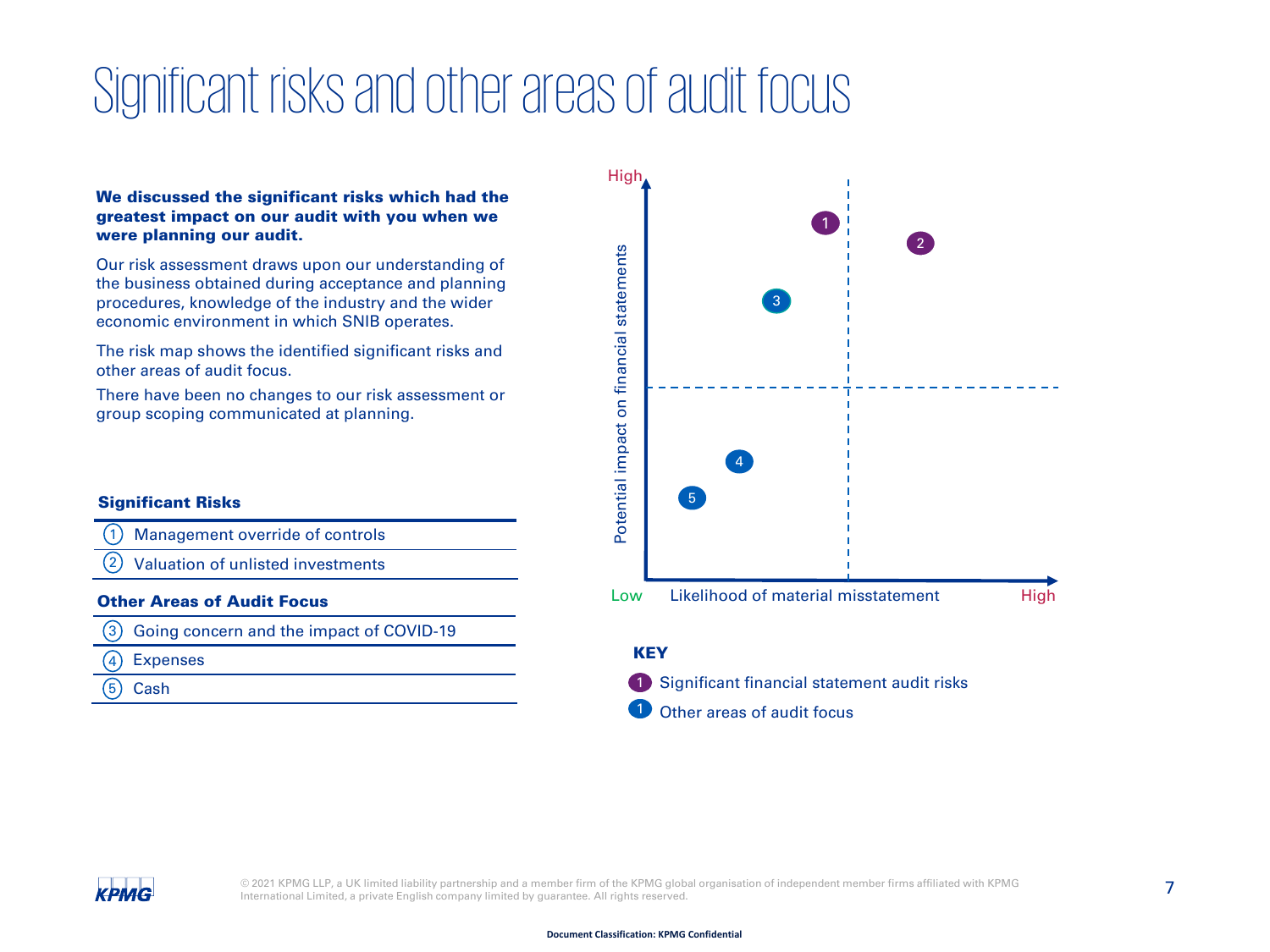### Significant risks and other areas of audit focus

#### We discussed the significant risks which had the greatest impact on our audit with you when we were planning our audit.

Our risk assessment draws upon our understanding of the business obtained during acceptance and planning procedures, knowledge of the industry and the wider economic environment in which SNIB operates.

The risk map shows the identified significant risks and other areas of audit focus.

There have been no changes to our risk assessment or group scoping communicated at planning.

#### Significant Risks

- Management override of controls  $\mathbf{1}$
- Valuation of unlisted investments 2

#### Other Areas of Audit Focus

- Going concern and the impact of COVID-19  $\left( 3\right)$
- Expenses 4
- Cash 5



Other areas of audit focus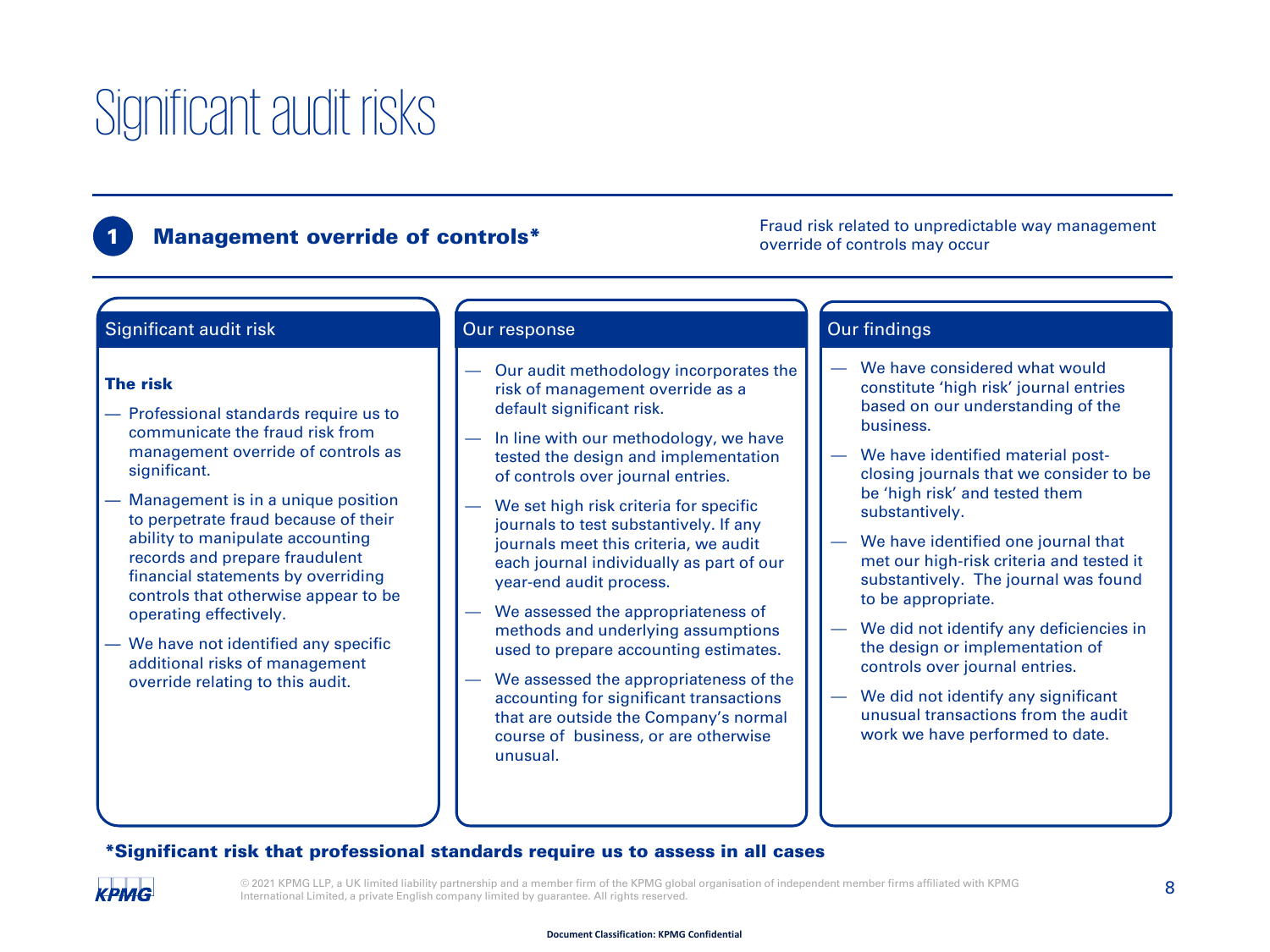### Significant audit risks

#### **Management override of controls\***

Fraud risk related to unpredictable way management override of controls may occur

#### Significant audit risk

#### The risk

- Professional standards require us to communicate the fraud risk from management override of controls as significant.
- Management is in a unique position to perpetrate fraud because of their ability to manipulate accounting records and prepare fraudulent financial statements by overriding controls that otherwise appear to be operating effectively.
- We have not identified any specific additional risks of management override relating to this audit.

- Our audit methodology incorporates the risk of management override as a default significant risk.
- In line with our methodology, we have tested the design and implementation of controls over journal entries.
- We set high risk criteria for specific journals to test substantively. If any journals meet this criteria, we audit each journal individually as part of our year-end audit process.
- We assessed the appropriateness of methods and underlying assumptions used to prepare accounting estimates.
- We assessed the appropriateness of the accounting for significant transactions that are outside the Company's normal course of business, or are otherwise unusual.

#### Our response and the contract of the Our findings

- We have considered what would constitute 'high risk' journal entries based on our understanding of the business.
- We have identified material postclosing journals that we consider to be be 'high risk' and tested them substantively.
- We have identified one journal that met our high-risk criteria and tested it substantively. The journal was found to be appropriate.
- We did not identify any deficiencies in the design or implementation of controls over journal entries.
- We did not identify any significant unusual transactions from the audit work we have performed to date.

#### \*Significant risk that professional standards require us to assess in all cases

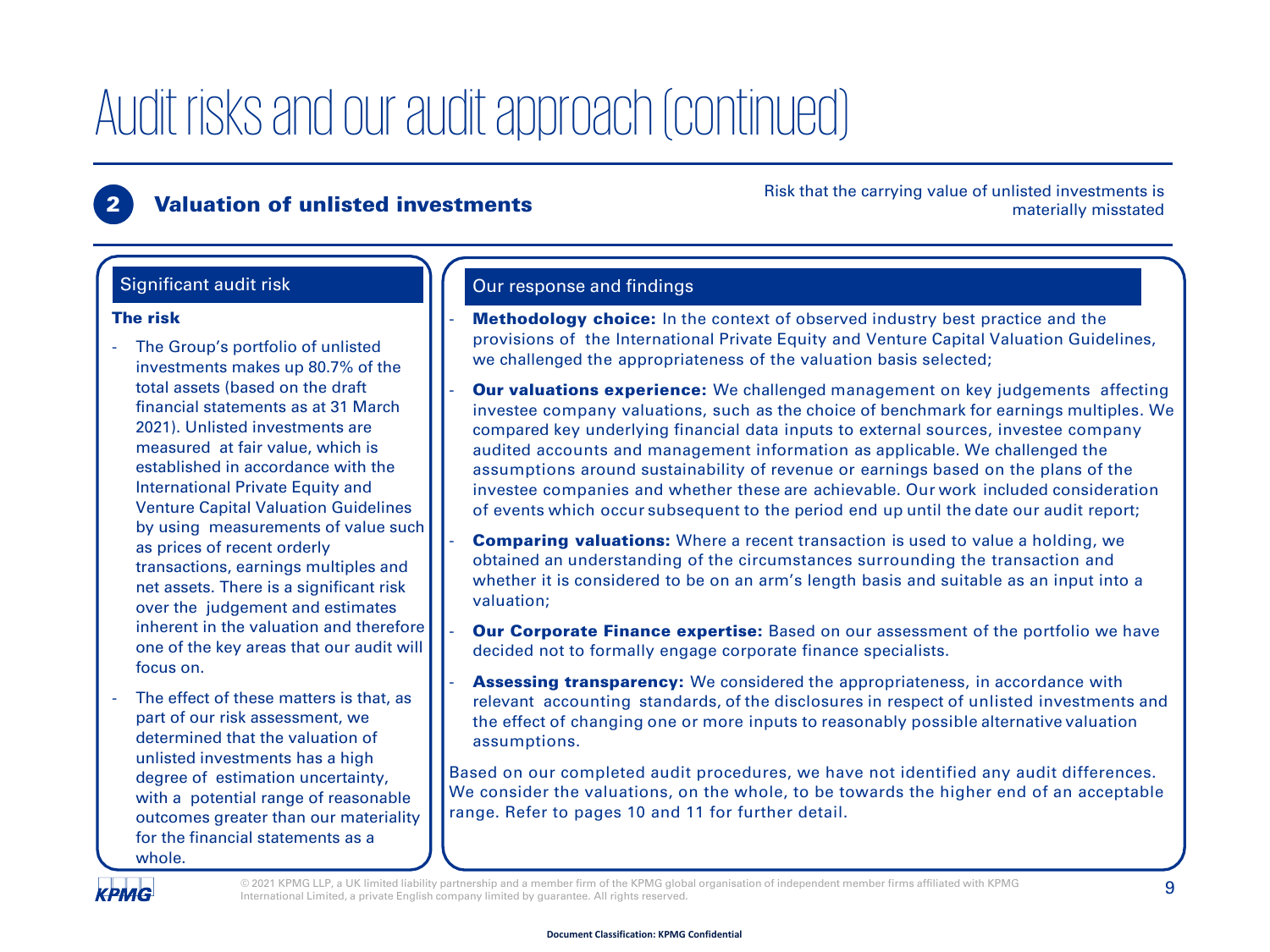#### **Valuation of unlisted investments**

Risk that the carrying value of unlisted investments is materially misstated

#### The risk

- The Group's portfolio of unlisted investments makes up 80.7% of the total assets (based on the draft financial statements as at 31 March 2021). Unlisted investments are measured at fair value, which is established in accordance with the International Private Equity and Venture Capital Valuation Guidelines by using measurements of value such as prices of recent orderly transactions, earnings multiples and net assets. There is a significant risk over the judgement and estimates inherent in the valuation and therefore one of the key areas that our audit will focus on.
- The effect of these matters is that, as part of our risk assessment, we determined that the valuation of unlisted investments has a high degree of estimation uncertainty, with a potential range of reasonable outcomes greater than our materiality for the financial statements as a whole.

#### Significant audit risk **Course Course** Curresponse and findings

- **Methodology choice:** In the context of observed industry best practice and the provisions of the International Private Equity and Venture Capital Valuation Guidelines, we challenged the appropriateness of the valuation basis selected;
- **Our valuations experience:** We challenged management on key judgements affecting investee company valuations, such as the choice of benchmark for earnings multiples. We compared key underlying financial data inputs to external sources, investee company audited accounts and management information as applicable. We challenged the assumptions around sustainability of revenue or earnings based on the plans of the investee companies and whether these are achievable. Our work included consideration of events which occur subsequent to the period end up until the date our audit report;
- **Comparing valuations:** Where a recent transaction is used to value a holding, we obtained an understanding of the circumstances surrounding the transaction and whether it is considered to be on an arm's length basis and suitable as an input into a valuation;
- **Our Corporate Finance expertise:** Based on our assessment of the portfolio we have decided not to formally engage corporate finance specialists.
- **Assessing transparency:** We considered the appropriateness, in accordance with relevant accounting standards, of the disclosures in respect of unlisted investments and the effect of changing one or more inputs to reasonably possible alternative valuation assumptions.

Based on our completed audit procedures, we have not identified any audit differences. We consider the valuations, on the whole, to be towards the higher end of an acceptable range. Refer to pages 10 and 11 for further detail.

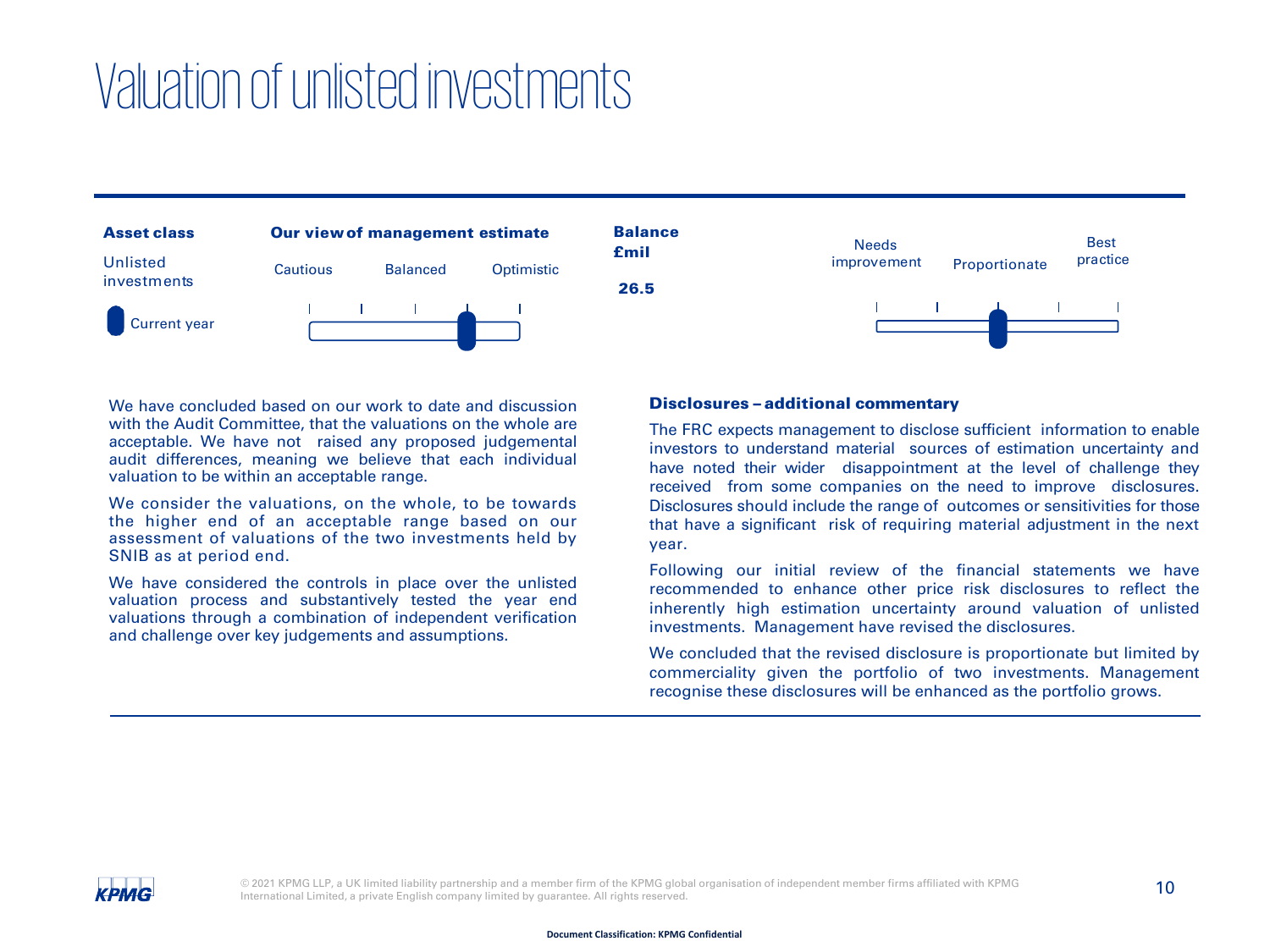### Valuation of unlistedinvestments



We have concluded based on our work to date and discussion with the Audit Committee, that the valuations on the whole are acceptable. We have not raised any proposed judgemental audit differences, meaning we believe that each individual valuation to be within an acceptable range.

We consider the valuations, on the whole, to be towards the higher end of an acceptable range based on our assessment of valuations of the two investments held by SNIB as at period end.

We have considered the controls in place over the unlisted valuation process and substantively tested the year end valuations through a combination of independent verification and challenge over key judgements and assumptions.

#### Disclosures – additional commentary

The FRC expects management to disclose sufficient information to enable investors to understand material sources of estimation uncertainty and have noted their wider disappointment at the level of challenge they received from some companies on the need to improve disclosures. Disclosures should include the range of outcomes or sensitivities for those that have a significant risk of requiring material adjustment in the next year.

Following our initial review of the financial statements we have recommended to enhance other price risk disclosures to reflect the inherently high estimation uncertainty around valuation of unlisted investments. Management have revised the disclosures.

We concluded that the revised disclosure is proportionate but limited by commerciality given the portfolio of two investments. Management recognise these disclosures will be enhanced as the portfolio grows.

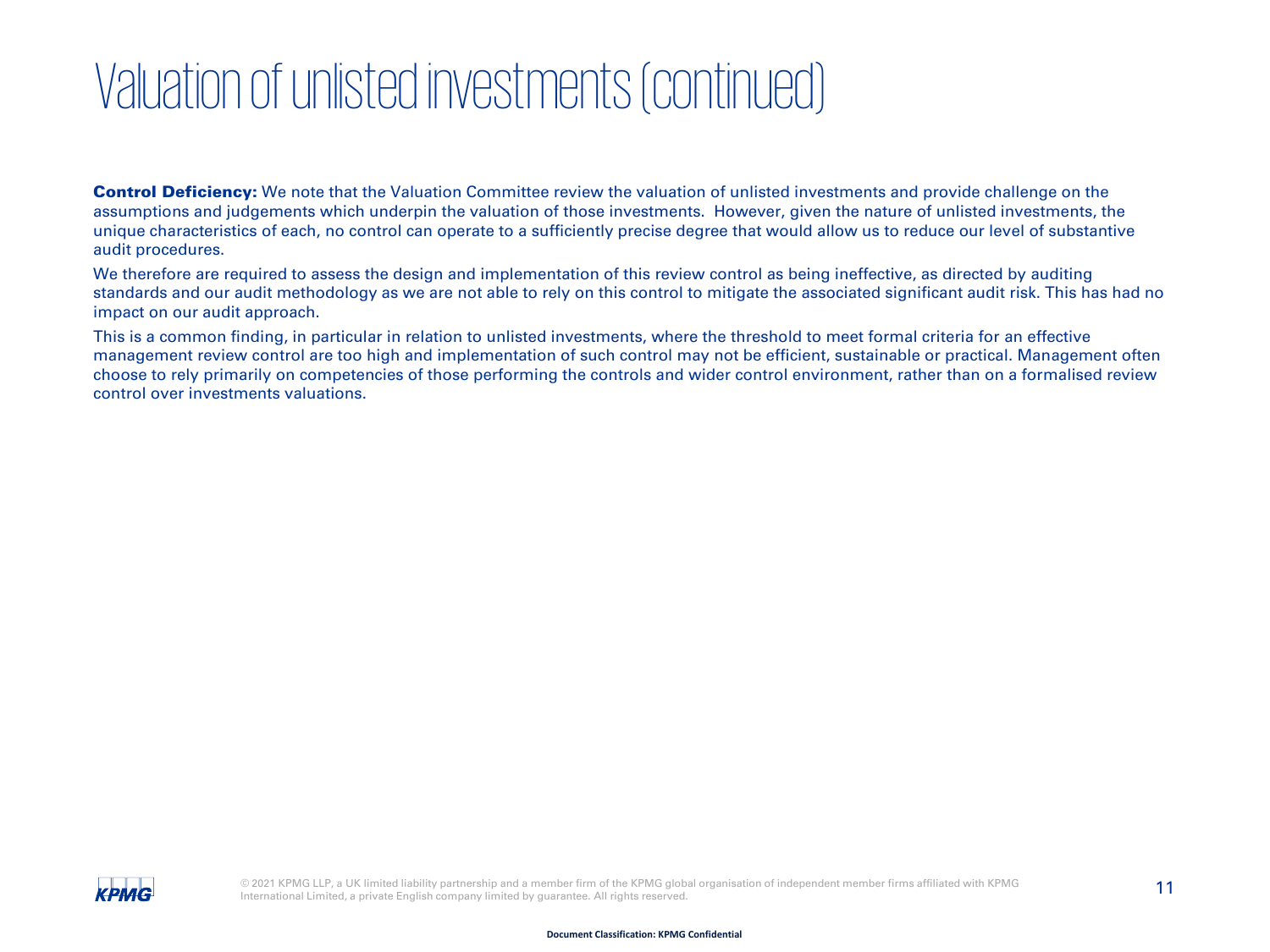### Valuation of unlisted investments (continued)

**Control Deficiency:** We note that the Valuation Committee review the valuation of unlisted investments and provide challenge on the assumptions and judgements which underpin the valuation of those investments. However, given the nature of unlisted investments, the unique characteristics of each, no control can operate to a sufficiently precise degree that would allow us to reduce our level of substantive audit procedures.

We therefore are required to assess the design and implementation of this review control as being ineffective, as directed by auditing standards and our audit methodology as we are not able to rely on this control to mitigate the associated significant audit risk. This has had no impact on our audit approach.

This is a common finding, in particular in relation to unlisted investments, where the threshold to meet formal criteria for an effective management review control are too high and implementation of such control may not be efficient, sustainable or practical. Management often choose to rely primarily on competencies of those performing the controls and wider control environment, rather than on a formalised review control over investments valuations.

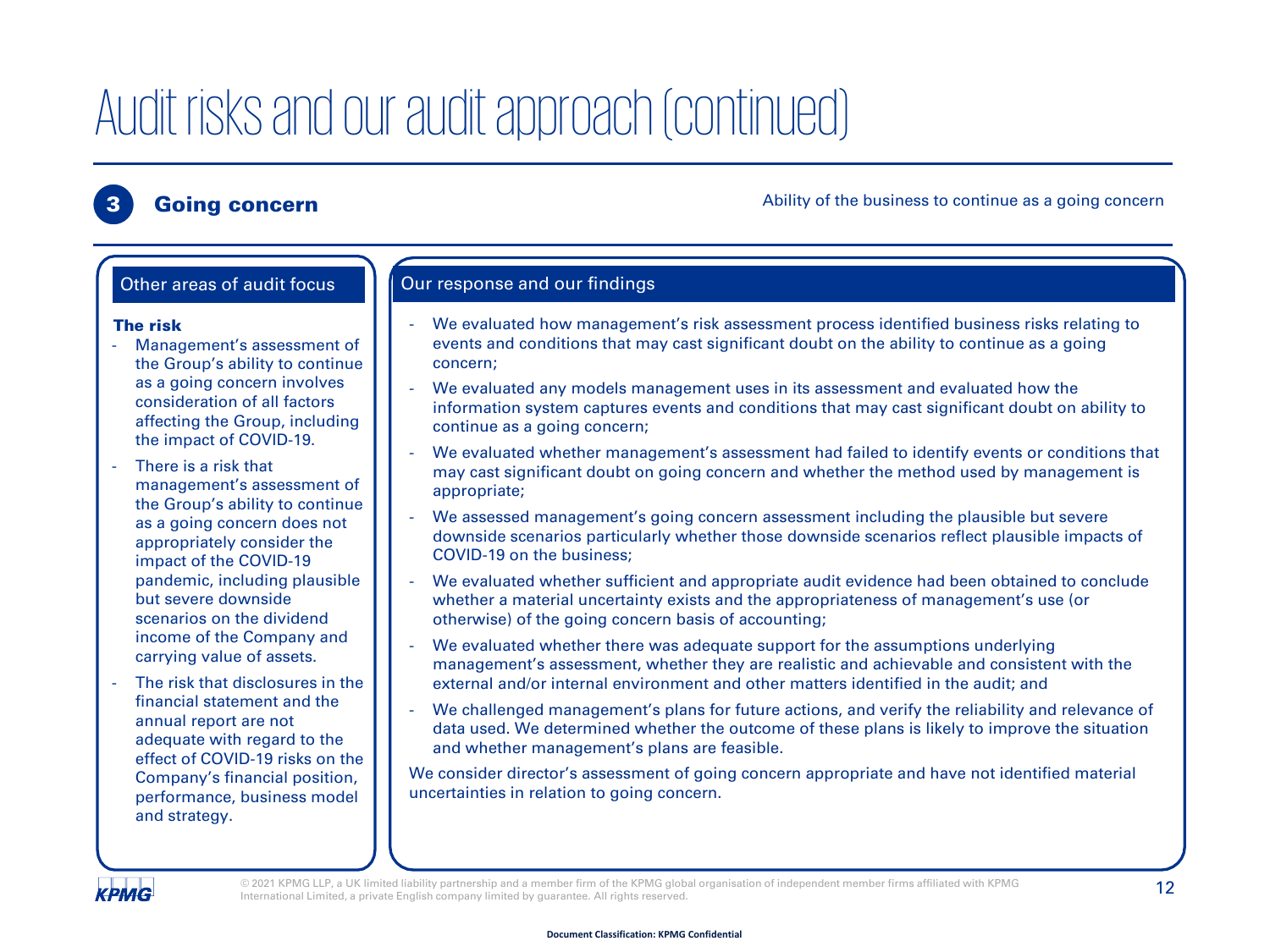**3 Going concern Going concern** Ability of the business to continue as a going concern

#### We evaluated how management's risk assessment process identified business risks relating to events and conditions that may cast significant doubt on the ability to continue as a going concern; We evaluated any models management uses in its assessment and evaluated how the information system captures events and conditions that may cast significant doubt on ability to continue as a going concern; We evaluated whether management's assessment had failed to identify events or conditions that may cast significant doubt on going concern and whether the method used by management is appropriate; We assessed management's going concern assessment including the plausible but severe downside scenarios particularly whether those downside scenarios reflect plausible impacts of COVID-19 on the business; We evaluated whether sufficient and appropriate audit evidence had been obtained to conclude whether a material uncertainty exists and the appropriateness of management's use (or otherwise) of the going concern basis of accounting; We evaluated whether there was adequate support for the assumptions underlying management's assessment, whether they are realistic and achievable and consistent with the external and/or internal environment and other matters identified in the audit; and We challenged management's plans for future actions, and verify the reliability and relevance of data used. We determined whether the outcome of these plans is likely to improve the situation and whether management's plans are feasible. The risk Management's assessment of the Group's ability to continue as a going concern involves consideration of all factors affecting the Group, including the impact of COVID-19. There is a risk that management's assessment of the Group's ability to continue as a going concern does not appropriately consider the impact of the COVID-19 pandemic, including plausible but severe downside scenarios on the dividend income of the Company and carrying value of assets. The risk that disclosures in the financial statement and the annual report are not adequate with regard to the effect of COVID-19 risks on the Other areas of audit focus  $\Box$  Our response and our findings

We consider director's assessment of going concern appropriate and have not identified material uncertainties in relation to going concern.

**КРМG** 

and strategy.

Company's financial position, performance, business model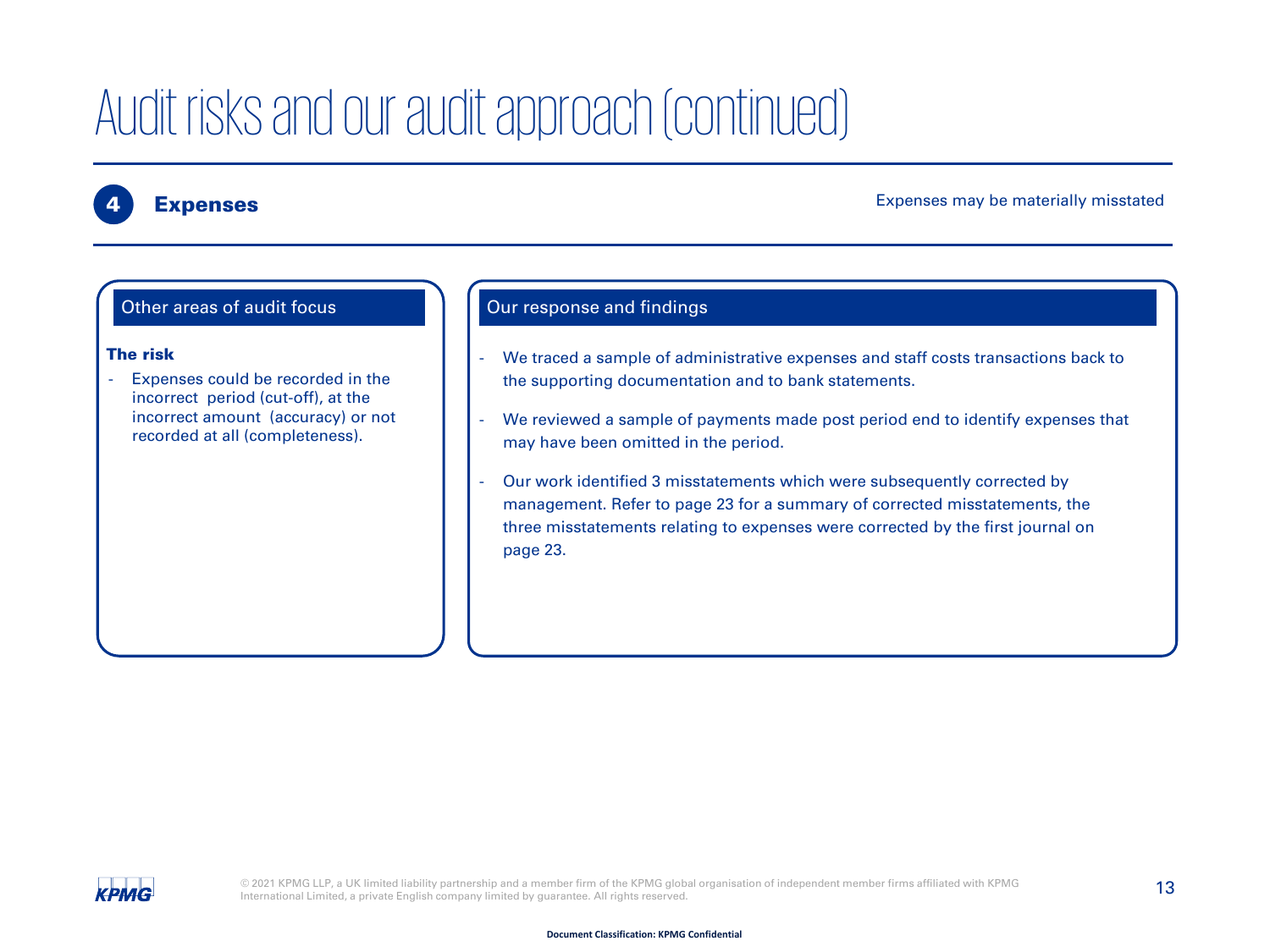#### Expenses may be materially misstated

#### Other areas of audit focus

#### The risk

Expenses could be recorded in the incorrect period (cut-off), at the incorrect amount (accuracy) or not recorded at all (completeness).

#### Our response and findings

- We traced a sample of administrative expenses and staff costs transactions back to the supporting documentation and to bank statements.
- We reviewed a sample of payments made post period end to identify expenses that may have been omitted in the period.
- Our work identified 3 misstatements which were subsequently corrected by management. Refer to page 23 for a summary of corrected misstatements, the three misstatements relating to expenses were corrected by the first journal on page 23.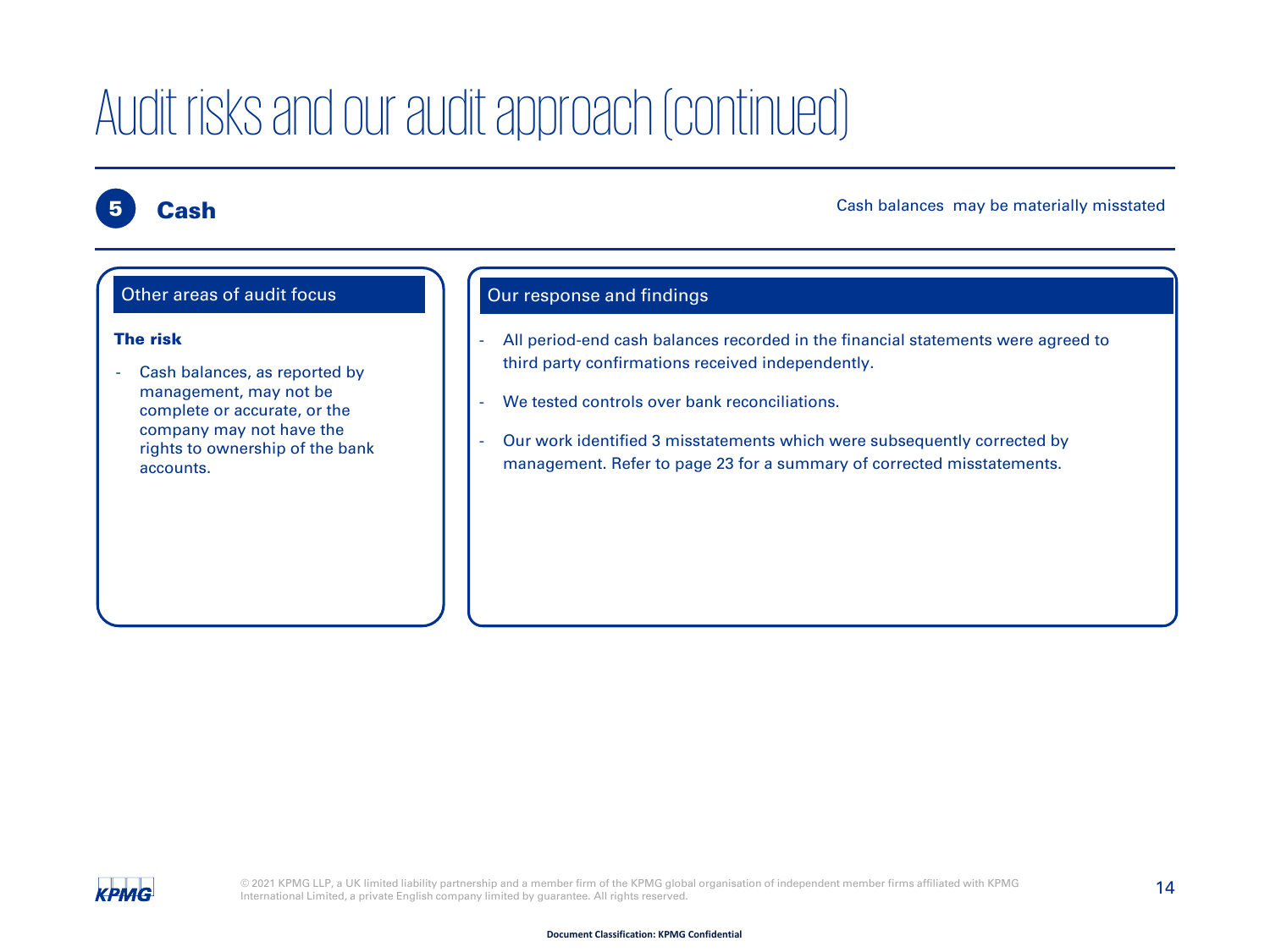#### **Cash**

Cash balances may be materially misstated



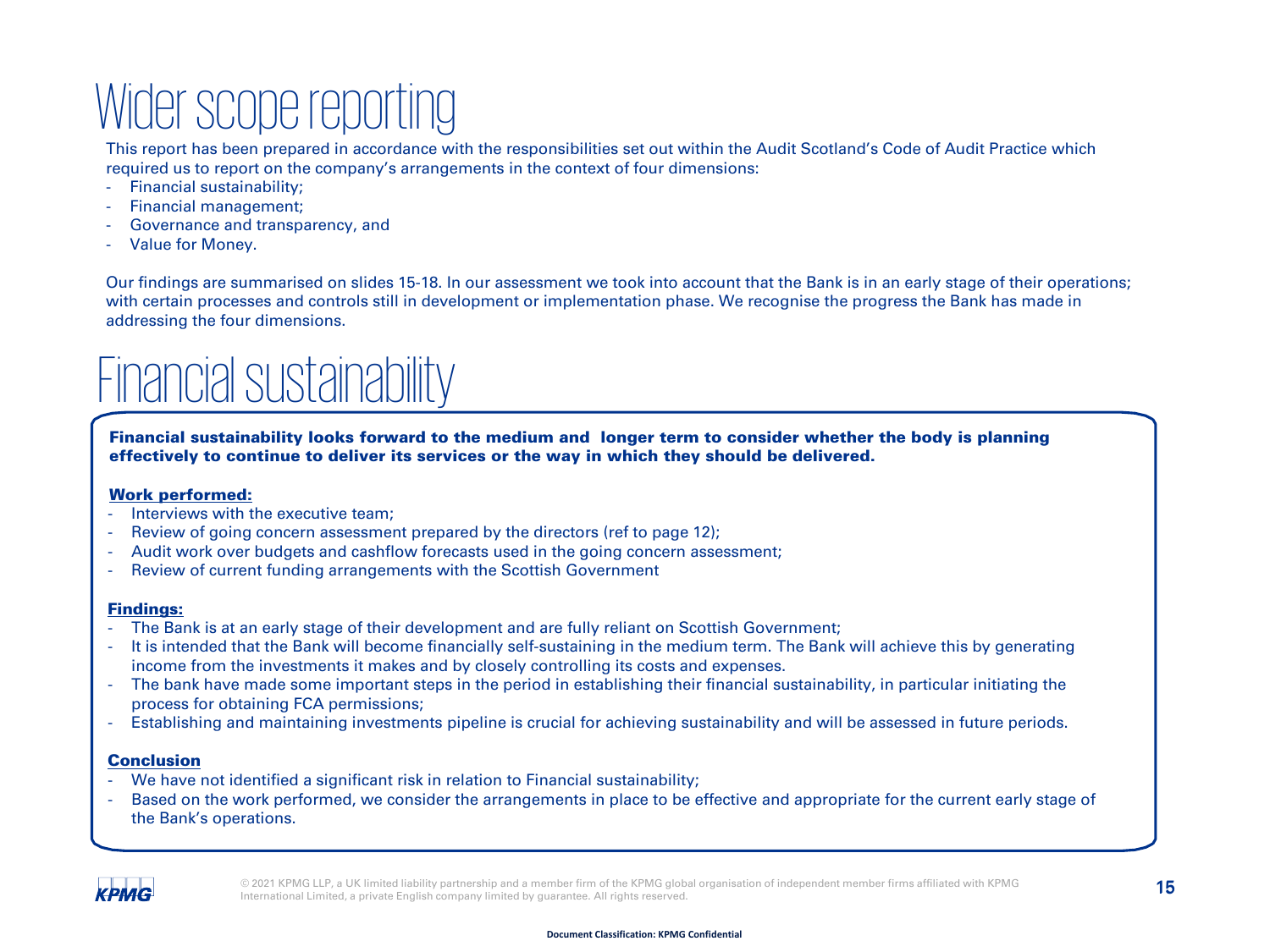### Wider scope reporting

This report has been prepared in accordance with the responsibilities set out within the Audit Scotland's Code of Audit Practice which required us to report on the company's arrangements in the context of four dimensions:

- Financial sustainability;
- Financial management;
- Governance and transparency, and
- Value for Money.

Our findings are summarised on slides 15-18. In our assessment we took into account that the Bank is in an early stage of their operations; with certain processes and controls still in development or implementation phase. We recognise the progress the Bank has made in addressing the four dimensions.

### Financial sustainability

Financial sustainability looks forward to the medium and longer term to consider whether the body is planning effectively to continue to deliver its services or the way in which they should be delivered.

#### Work performed:

- Interviews with the executive team;
- Review of going concern assessment prepared by the directors (ref to page 12);
- Audit work over budgets and cashflow forecasts used in the going concern assessment;
- Review of current funding arrangements with the Scottish Government

#### Findings:

- The Bank is at an early stage of their development and are fully reliant on Scottish Government;
- It is intended that the Bank will become financially self-sustaining in the medium term. The Bank will achieve this by generating income from the investments it makes and by closely controlling its costs and expenses.
- The bank have made some important steps in the period in establishing their financial sustainability, in particular initiating the process for obtaining FCA permissions;
- Establishing and maintaining investments pipeline is crucial for achieving sustainability and will be assessed in future periods.

#### Conclusion

- We have not identified a significant risk in relation to Financial sustainability;
- Based on the work performed, we consider the arrangements in place to be effective and appropriate for the current early stage of the Bank's operations.

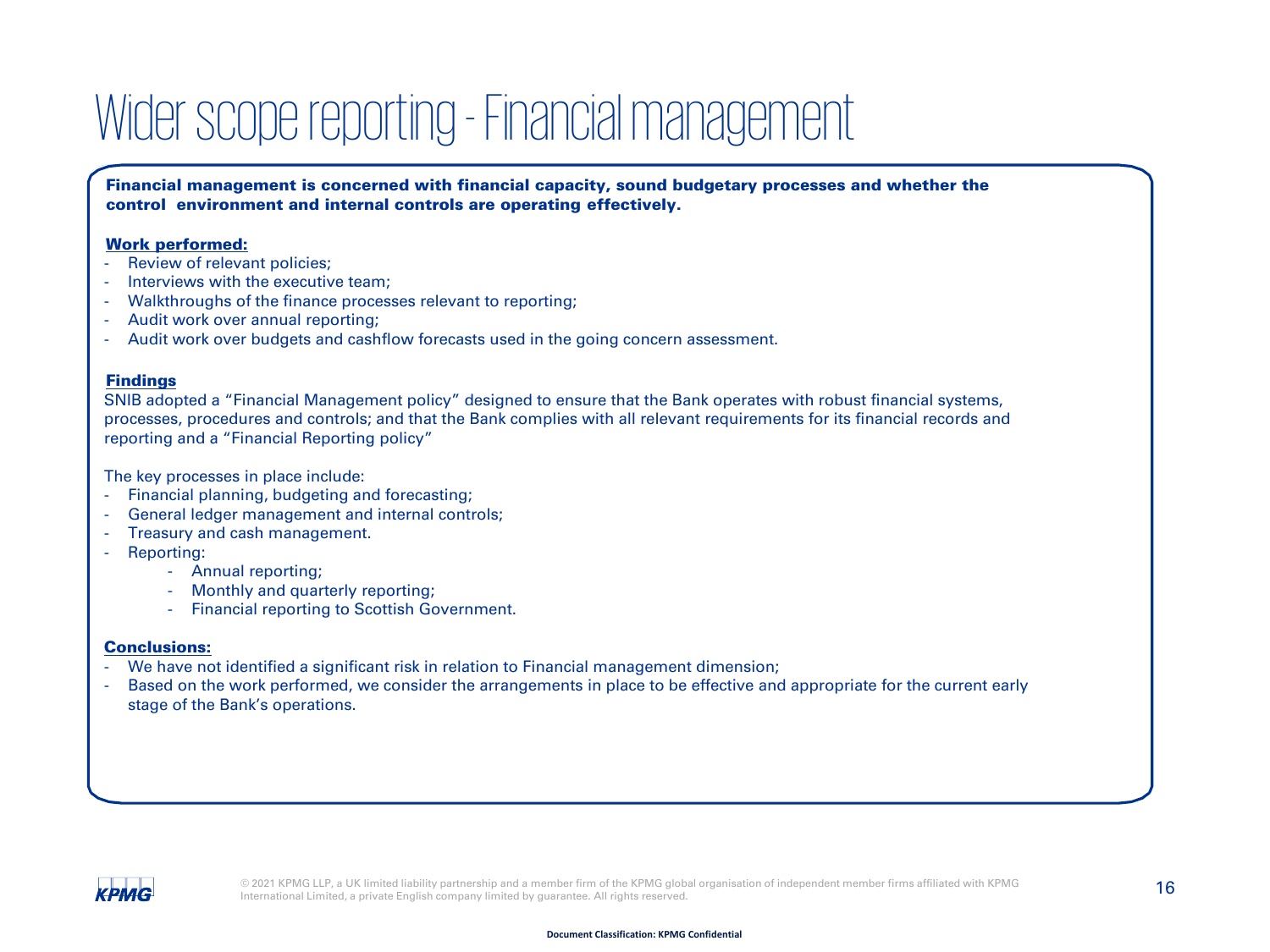### Wider scope reporting - Financial management

Financial management is concerned with financial capacity, sound budgetary processes and whether the control environment and internal controls are operating effectively.

#### Work performed:

- Review of relevant policies;
- Interviews with the executive team:
- Walkthroughs of the finance processes relevant to reporting:
- Audit work over annual reporting;
- Audit work over budgets and cashflow forecasts used in the going concern assessment.

#### **Findings**

SNIB adopted a "Financial Management policy" designed to ensure that the Bank operates with robust financial systems, processes, procedures and controls; and that the Bank complies with all relevant requirements for its financial records and reporting and a "Financial Reporting policy"

The key processes in place include:

- Financial planning, budgeting and forecasting;
- General ledger management and internal controls;
- Treasury and cash management.
- Reporting:
	- Annual reporting;
	- Monthly and quarterly reporting;
	- Financial reporting to Scottish Government.

#### Conclusions:

- We have not identified a significant risk in relation to Financial management dimension;
- Based on the work performed, we consider the arrangements in place to be effective and appropriate for the current early stage of the Bank's operations.

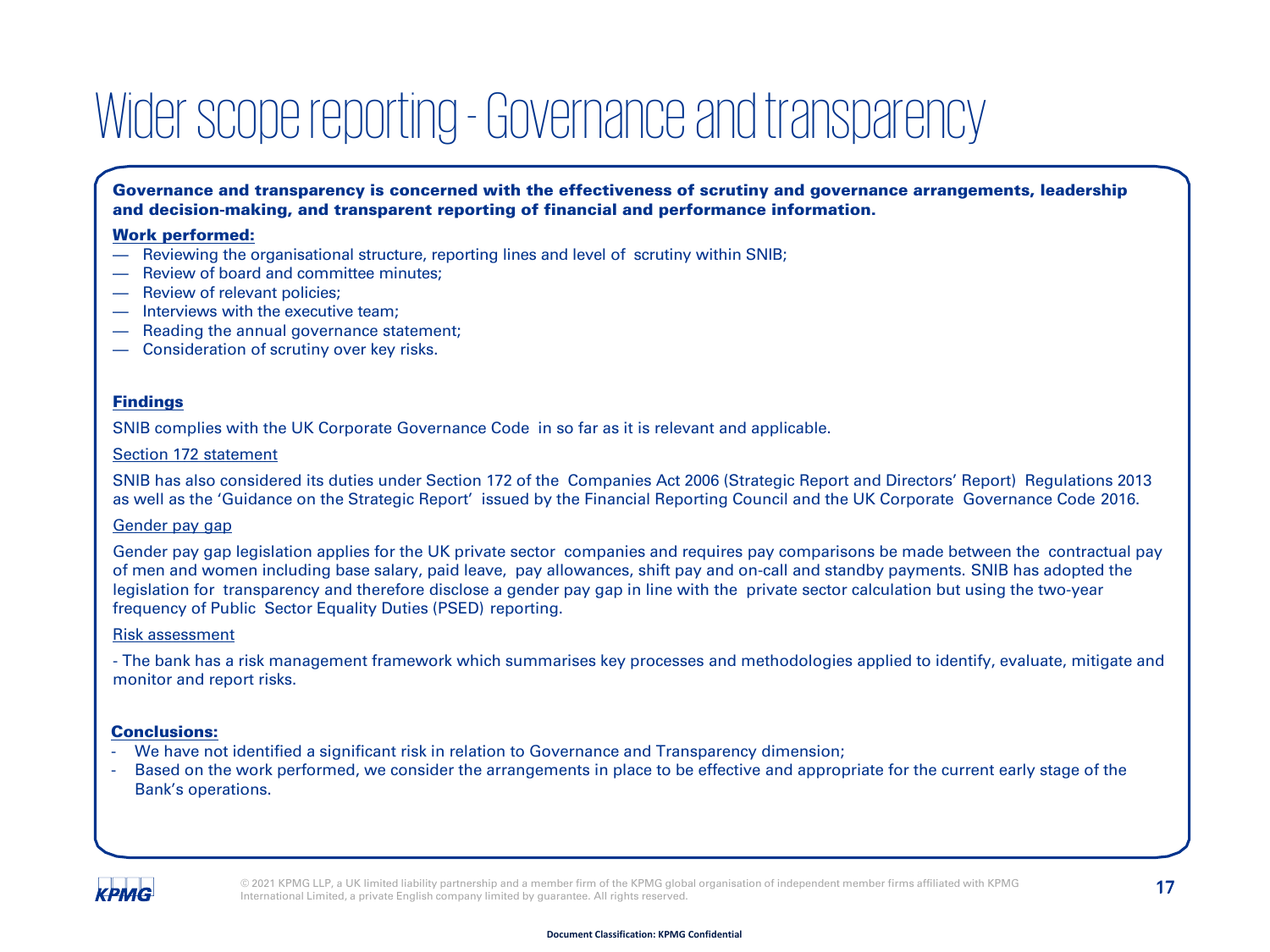### Wider scope reporting - Governance and transparency

Governance and transparency is concerned with the effectiveness of scrutiny and governance arrangements, leadership and decision-making, and transparent reporting of financial and performance information.

#### Work performed:

- Reviewing the organisational structure, reporting lines and level of scrutiny within SNIB;
- Review of board and committee minutes;
- Review of relevant policies:
- Interviews with the executive team:
- Reading the annual governance statement;
- Consideration of scrutiny over key risks.

#### Findings

SNIB complies with the UK Corporate Governance Code in so far as it is relevant and applicable.

#### Section 172 statement

SNIB has also considered its duties under Section 172 of the Companies Act 2006 (Strategic Report and Directors' Report) Regulations 2013 as well as the 'Guidance on the Strategic Report' issued by the Financial Reporting Council and the UK Corporate Governance Code 2016.

#### Gender pay gap

Gender pay gap legislation applies for the UK private sector companies and requires pay comparisons be made between the contractual pay of men and women including base salary, paid leave, pay allowances, shift pay and on-call and standby payments. SNIB has adopted the legislation for transparency and therefore disclose a gender pay gap in line with the private sector calculation but using the two-year frequency of Public Sector Equality Duties (PSED) reporting.

#### Risk assessment

- The bank has a risk management framework which summarises key processes and methodologies applied to identify, evaluate, mitigate and monitor and report risks.

#### Conclusions:

- We have not identified a significant risk in relation to Governance and Transparency dimension;
- Based on the work performed, we consider the arrangements in place to be effective and appropriate for the current early stage of the Bank's operations.

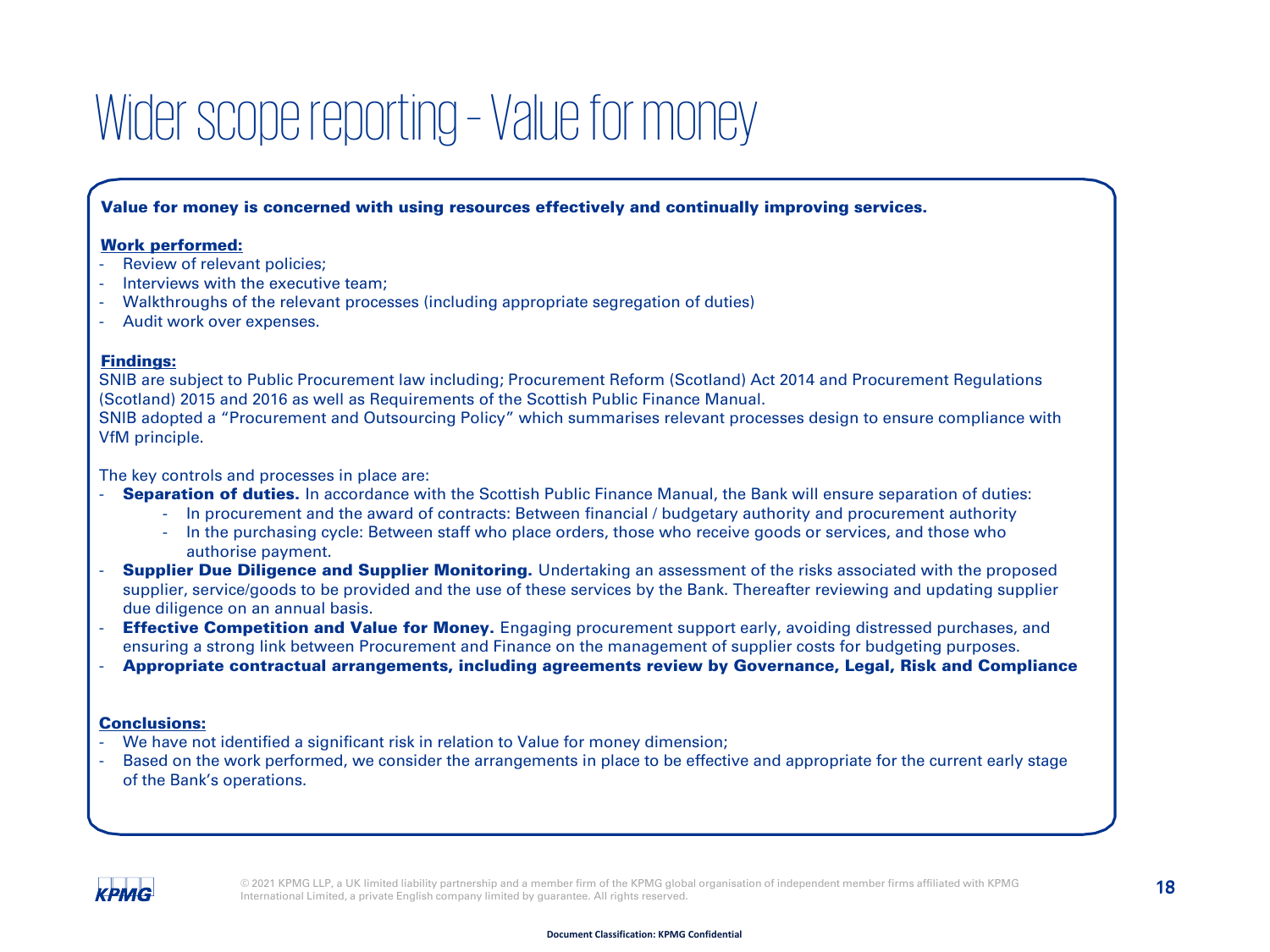### Wider scope reporting - Value for money

#### Value for money is concerned with using resources effectively and continually improving services.

#### Work performed:

- Review of relevant policies:
- Interviews with the executive team:
- Walkthroughs of the relevant processes (including appropriate segregation of duties)
- Audit work over expenses.

#### Findings:

SNIB are subject to Public Procurement law including; Procurement Reform (Scotland) Act 2014 and Procurement Regulations (Scotland) 2015 and 2016 as well as Requirements of the Scottish Public Finance Manual.

SNIB adopted a "Procurement and Outsourcing Policy" which summarises relevant processes design to ensure compliance with VfM principle.

The key controls and processes in place are:

- Separation of duties. In accordance with the Scottish Public Finance Manual, the Bank will ensure separation of duties:
	- In procurement and the award of contracts: Between financial / budgetary authority and procurement authority
	- In the purchasing cycle: Between staff who place orders, those who receive goods or services, and those who authorise payment.
- **Supplier Due Diligence and Supplier Monitoring.** Undertaking an assessment of the risks associated with the proposed supplier, service/goods to be provided and the use of these services by the Bank. Thereafter reviewing and updating supplier due diligence on an annual basis.
- **Effective Competition and Value for Money.** Engaging procurement support early, avoiding distressed purchases, and ensuring a strong link between Procurement and Finance on the management of supplier costs for budgeting purposes.
- Appropriate contractual arrangements, including agreements review by Governance, Legal, Risk and Compliance

#### Conclusions:

- We have not identified a significant risk in relation to Value for money dimension;
- Based on the work performed, we consider the arrangements in place to be effective and appropriate for the current early stage of the Bank's operations.

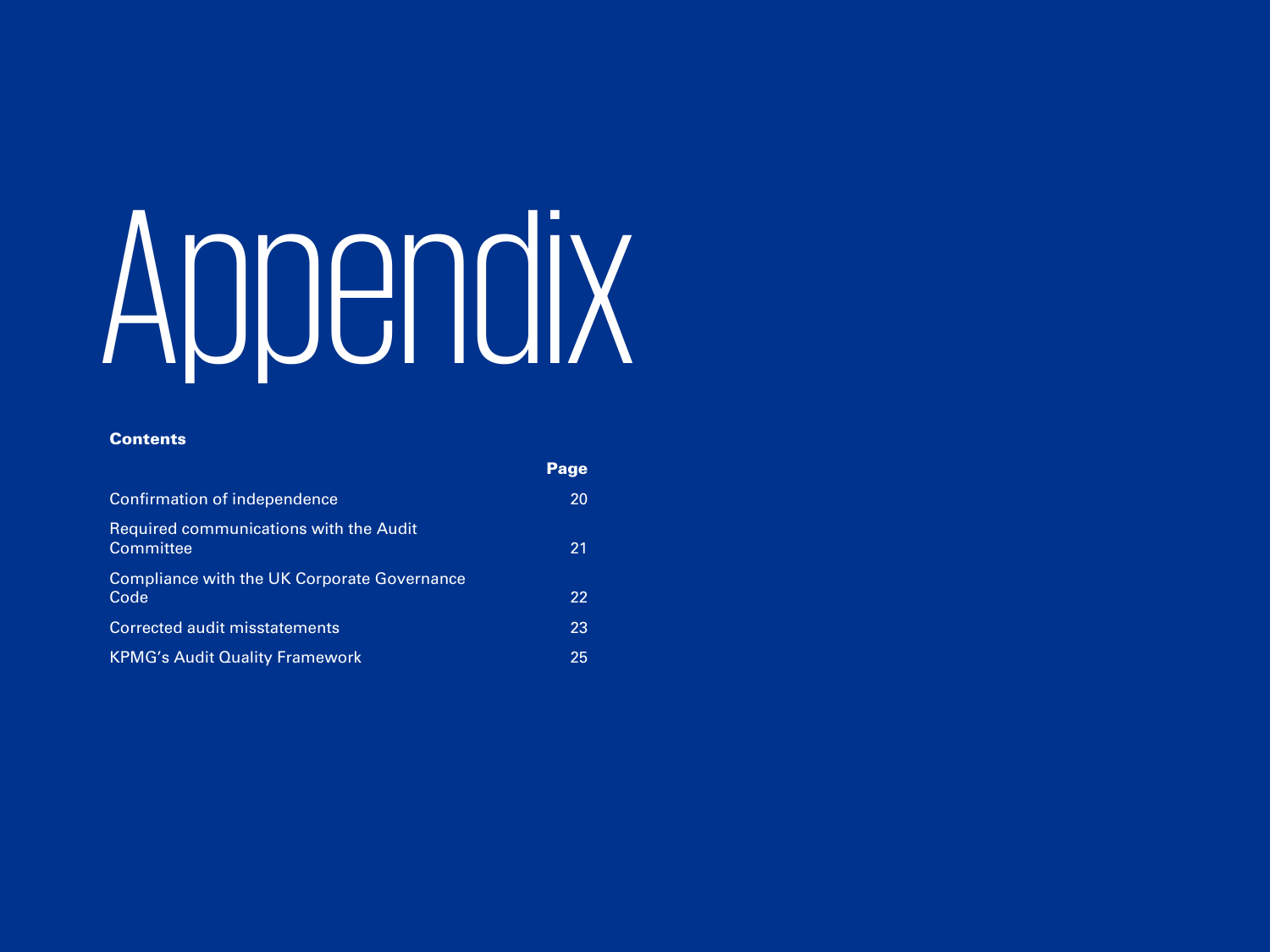# <span id="page-18-0"></span>Appendix

Page

#### **Contents**

|                                                            | г аче |
|------------------------------------------------------------|-------|
| Confirmation of independence                               | 20    |
| <b>Required communications with the Audit</b><br>Committee | 21    |
| Compliance with the UK Corporate Governance<br>Code        | 22    |
| Corrected audit misstatements                              | 23    |
| <b>KPMG's Audit Quality Framework</b>                      | 25    |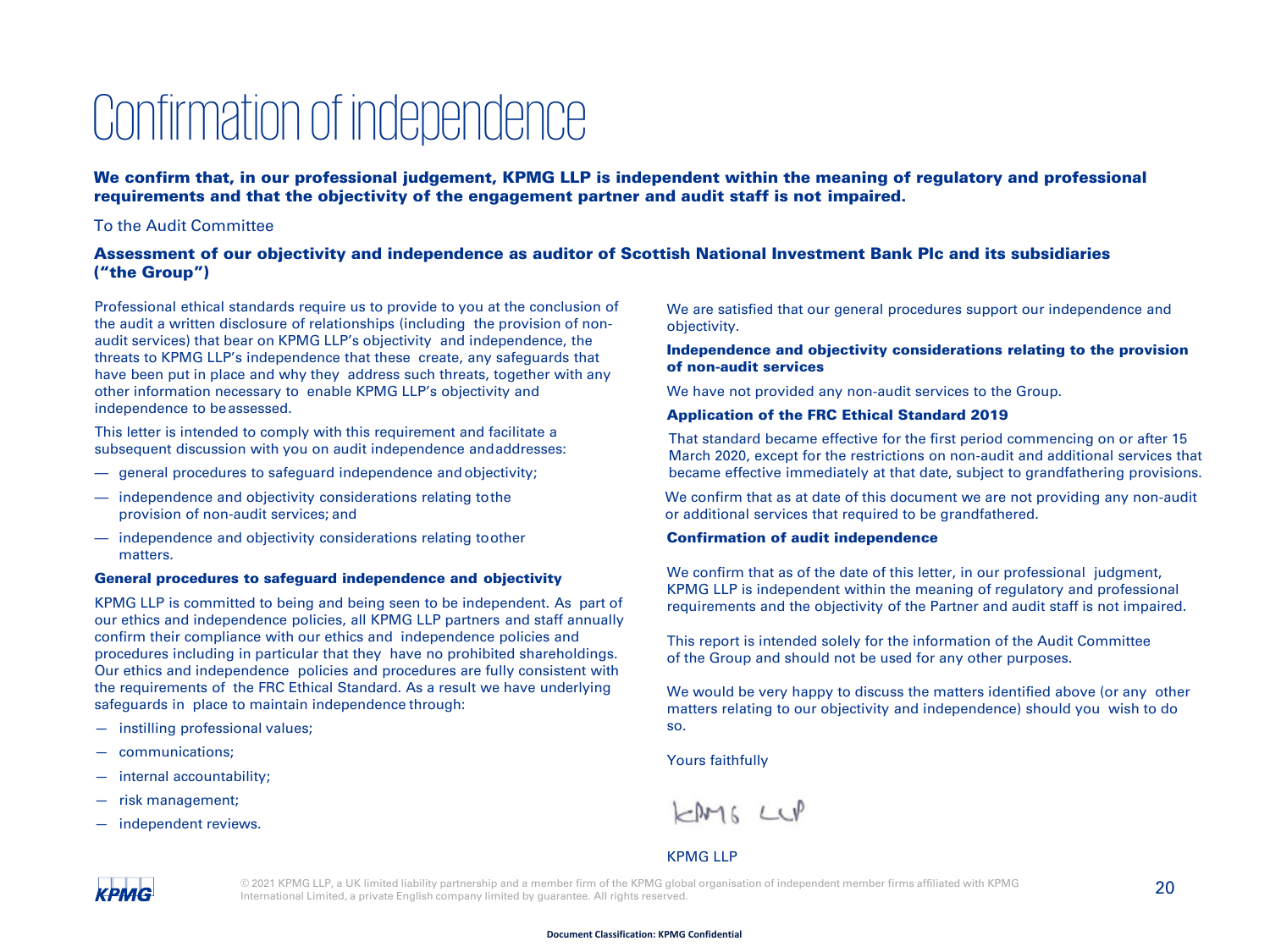### Confirmation of independence

We confirm that, in our professional judgement, KPMG LLP is independent within the meaning of regulatory and professional requirements and that the objectivity of the engagement partner and audit staff is not impaired.

#### To the Audit Committee

#### Assessment of our objectivity and independence as auditor of Scottish National Investment Bank Plc and its subsidiaries ("the Group")

Professional ethical standards require us to provide to you at the conclusion of the audit a written disclosure of relationships (including the provision of nonaudit services) that bear on KPMG LLP's objectivity and independence, the threats to KPMG LLP's independence that these create, any safeguards that have been put in place and why they address such threats, together with any other information necessary to enable KPMG LLP's objectivity and independence to beassessed.

This letter is intended to comply with this requirement and facilitate a subsequent discussion with you on audit independence andaddresses:

- general procedures to safeguard independence and objectivity;
- independence and objectivity considerations relating tothe provision of non-audit services; and
- independence and objectivity considerations relating toother matters.

#### General procedures to safeguard independence and objectivity

KPMG LLP is committed to being and being seen to be independent. As part of our ethics and independence policies, all KPMG LLP partners and staff annually confirm their compliance with our ethics and independence policies and procedures including in particular that they have no prohibited shareholdings. Our ethics and independence policies and procedures are fully consistent with the requirements of the FRC Ethical Standard. As a result we have underlying safeguards in place to maintain independence through:

- instilling professional values;
- communications;
- internal accountability;
- risk management;
- independent reviews.

We are satisfied that our general procedures support our independence and objectivity.

#### Independence and objectivity considerations relating to the provision of non-audit services

We have not provided any non-audit services to the Group.

#### Application of the FRC Ethical Standard 2019

That standard became effective for the first period commencing on or after 15 March 2020, except for the restrictions on non-audit and additional services that became effective immediately at that date, subject to grandfathering provisions.

We confirm that as at date of this document we are not providing any non-audit or additional services that required to be grandfathered.

#### Confirmation of audit independence

We confirm that as of the date of this letter, in our professional judgment, KPMG LLP is independent within the meaning of regulatory and professional requirements and the objectivity of the Partner and audit staff is not impaired.

This report is intended solely for the information of the Audit Committee of the Group and should not be used for any other purposes.

We would be very happy to discuss the matters identified above (or any other matters relating to our objectivity and independence) should you wish to do so.

Yours faithfully

 $FMSLUP$ 

#### KPMG LLP

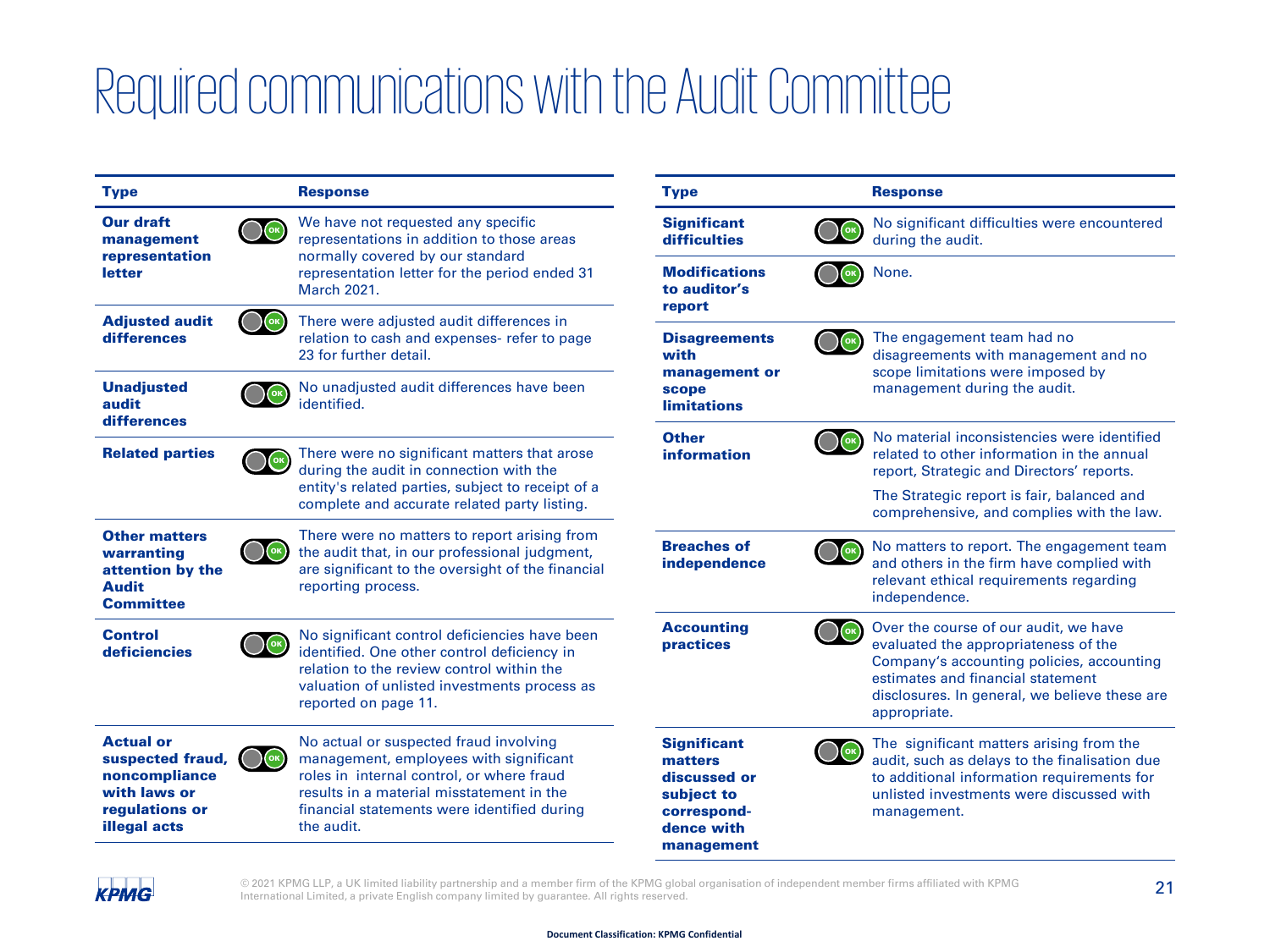### Required communications with the Audit Committee

| <b>Type</b>                                                                                                    |                       | <b>Response</b>                                                                                                                                                                                                                         | <b>Type</b>                                                                                            |     | <b>Response</b>                                                                                                                                                                                                                  |
|----------------------------------------------------------------------------------------------------------------|-----------------------|-----------------------------------------------------------------------------------------------------------------------------------------------------------------------------------------------------------------------------------------|--------------------------------------------------------------------------------------------------------|-----|----------------------------------------------------------------------------------------------------------------------------------------------------------------------------------------------------------------------------------|
| <b>Our draft</b><br>management                                                                                 | $\left($ ок $\right)$ | We have not requested any specific<br>representations in addition to those areas                                                                                                                                                        | <b>Significant</b><br>difficulties                                                                     | OK  | No significant difficulties were encountered<br>during the audit.                                                                                                                                                                |
| representation<br>letter                                                                                       |                       | normally covered by our standard<br>representation letter for the period ended 31<br><b>March 2021.</b>                                                                                                                                 | <b>Modifications</b><br>to auditor's<br>report                                                         |     | None.                                                                                                                                                                                                                            |
| <b>Adjusted audit</b><br>differences                                                                           |                       | There were adjusted audit differences in<br>relation to cash and expenses- refer to page<br>23 for further detail.                                                                                                                      | <b>Disagreements</b><br>with                                                                           |     | The engagement team had no<br>disagreements with management and no                                                                                                                                                               |
| <b>Unadjusted</b><br>audit<br>differences                                                                      |                       | No unadjusted audit differences have been<br>identified.                                                                                                                                                                                | management or<br>scope<br><b>limitations</b>                                                           |     | scope limitations were imposed by<br>management during the audit.                                                                                                                                                                |
| <b>Related parties</b>                                                                                         |                       | There were no significant matters that arose<br>during the audit in connection with the                                                                                                                                                 | <b>Other</b><br><b>information</b>                                                                     | (ок | No material inconsistencies were identified<br>related to other information in the annual<br>report, Strategic and Directors' reports.                                                                                           |
|                                                                                                                |                       | entity's related parties, subject to receipt of a<br>complete and accurate related party listing.                                                                                                                                       |                                                                                                        |     | The Strategic report is fair, balanced and<br>comprehensive, and complies with the law.                                                                                                                                          |
| <b>Other matters</b><br>warranting<br>attention by the<br><b>Audit</b><br><b>Committee</b>                     |                       | There were no matters to report arising from<br>the audit that, in our professional judgment,<br>are significant to the oversight of the financial<br>reporting process.                                                                | <b>Breaches of</b><br>independence                                                                     | (ок | No matters to report. The engagement team<br>and others in the firm have complied with<br>relevant ethical requirements regarding<br>independence.                                                                               |
| <b>Control</b><br>deficiencies                                                                                 |                       | No significant control deficiencies have been<br>identified. One other control deficiency in<br>relation to the review control within the<br>valuation of unlisted investments process as<br>reported on page 11.                       | <b>Accounting</b><br>practices                                                                         |     | Over the course of our audit, we have<br>evaluated the appropriateness of the<br>Company's accounting policies, accounting<br>estimates and financial statement<br>disclosures. In general, we believe these are<br>appropriate. |
| <b>Actual or</b><br>suspected fraud,<br>noncompliance<br>with laws or<br>regulations or<br><b>illegal acts</b> |                       | No actual or suspected fraud involving<br>management, employees with significant<br>roles in internal control, or where fraud<br>results in a material misstatement in the<br>financial statements were identified during<br>the audit. | <b>Significant</b><br>matters<br>discussed or<br>subject to<br>correspond-<br>dence with<br>management |     | The significant matters arising from the<br>audit, such as delays to the finalisation due<br>to additional information requirements for<br>unlisted investments were discussed with<br>management.                               |



© 2021 KPMG LLP, a UK limited liability partnership and a member firm of the KPMG global organisation of independent member firms affiliated with KPMG  $\, 21$ International Limited, a private English company limited by guarantee. All rights reserved.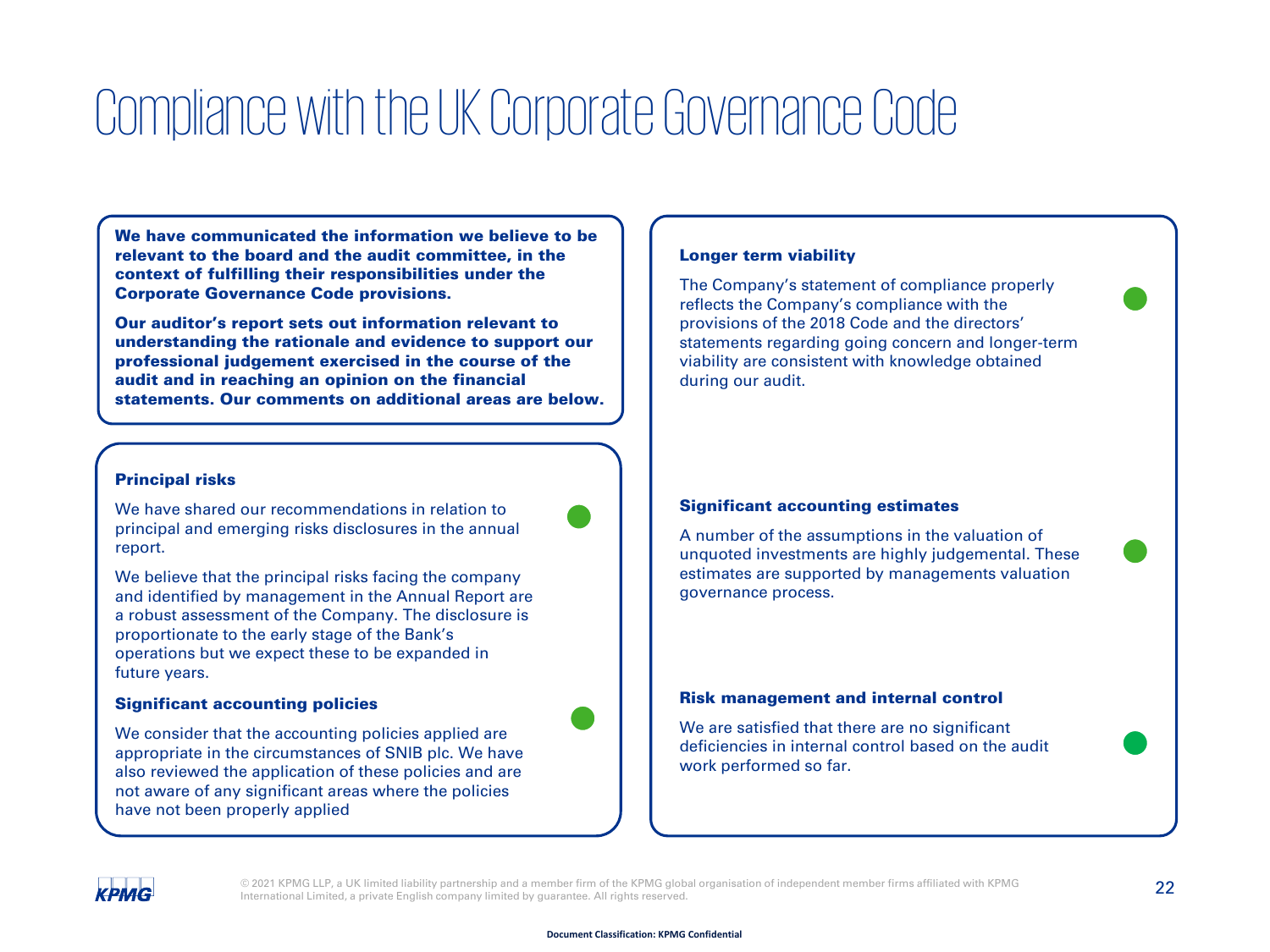### Compliance with the UK Corporate Governance Code

We have communicated the information we believe to be relevant to the board and the audit committee, in the context of fulfilling their responsibilities under the Corporate Governance Code provisions.

Our auditor's report sets out information relevant to understanding the rationale and evidence to support our professional judgement exercised in the course of the audit and in reaching an opinion on the financial statements. Our comments on additional areas are below.

#### Principal risks

We have shared our recommendations in relation to principal and emerging risks disclosures in the annual report.



We believe that the principal risks facing the company and identified by management in the Annual Report are a robust assessment of the Company. The disclosure is proportionate to the early stage of the Bank's operations but we expect these to be expanded in future years.

#### Significant accounting policies

We consider that the accounting policies applied are appropriate in the circumstances of SNIB plc. We have also reviewed the application of these policies and are not aware of any significant areas where the policies have not been properly applied

#### Longer term viability

The Company's statement of compliance properly reflects the Company's compliance with the provisions of the 2018 Code and the directors' statements regarding going concern and longer-term viability are consistent with knowledge obtained during our audit.

#### Significant accounting estimates

A number of the assumptions in the valuation of unquoted investments are highly judgemental. These estimates are supported by managements valuation governance process.

#### Risk management and internal control

We are satisfied that there are no significant deficiencies in internal control based on the audit work performed so far.

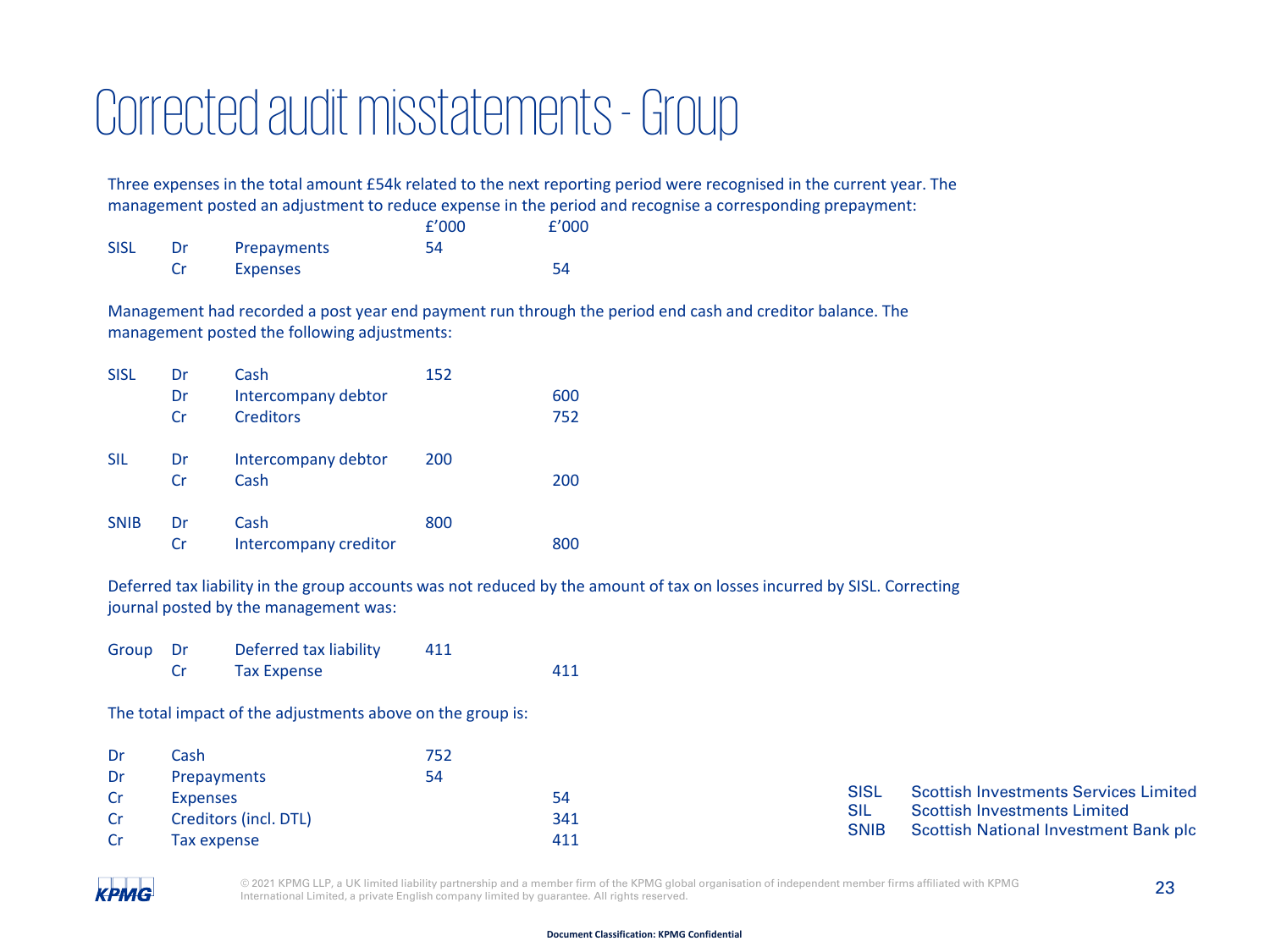### Corrected audit misstatements -Group

Three expenses in the total amount £54k related to the next reporting period were recognised in the current year. The management posted an adjustment to reduce expense in the period and recognise a corresponding prepayment:

|             |    |             | f'000 | f'000 |
|-------------|----|-------------|-------|-------|
| <b>SISL</b> | Dr | Prepayments | 54    |       |
|             |    | Expenses    |       | 54    |

Management had recorded a post year end payment run through the period end cash and creditor balance. The management posted the following adjustments:

| <b>SISL</b> | Dr        | Cash                  | 152 |     |
|-------------|-----------|-----------------------|-----|-----|
|             | Dr        | Intercompany debtor   |     | 600 |
|             | Cr        | <b>Creditors</b>      |     | 752 |
| <b>SIL</b>  | Dr        | Intercompany debtor   | 200 |     |
|             | <b>Cr</b> | Cash                  |     | 200 |
| <b>SNIB</b> | Dr        | Cash                  | 800 |     |
|             | Cr        | Intercompany creditor |     | 800 |

Deferred tax liability in the group accounts was not reduced by the amount of tax on losses incurred by SISL. Correcting journal posted by the management was:

| Group Dr | Deferred tax liability | 411 |     |
|----------|------------------------|-----|-----|
|          | <b>Tax Expense</b>     |     | 411 |

The total impact of the adjustments above on the group is:

| Dr  | Cash                  | 752 |     |             |                                                                              |
|-----|-----------------------|-----|-----|-------------|------------------------------------------------------------------------------|
| Dr  | Prepayments           | 54  |     |             |                                                                              |
|     | Expenses              |     | 54  | <b>SISL</b> | Scottish Investments Services Limited                                        |
| -Cr | Creditors (incl. DTL) |     | 341 | <b>SNIB</b> | <b>Scottish Investments Limited</b><br>Scottish National Investment Bank plc |
|     | Tax expense           |     | 411 |             |                                                                              |

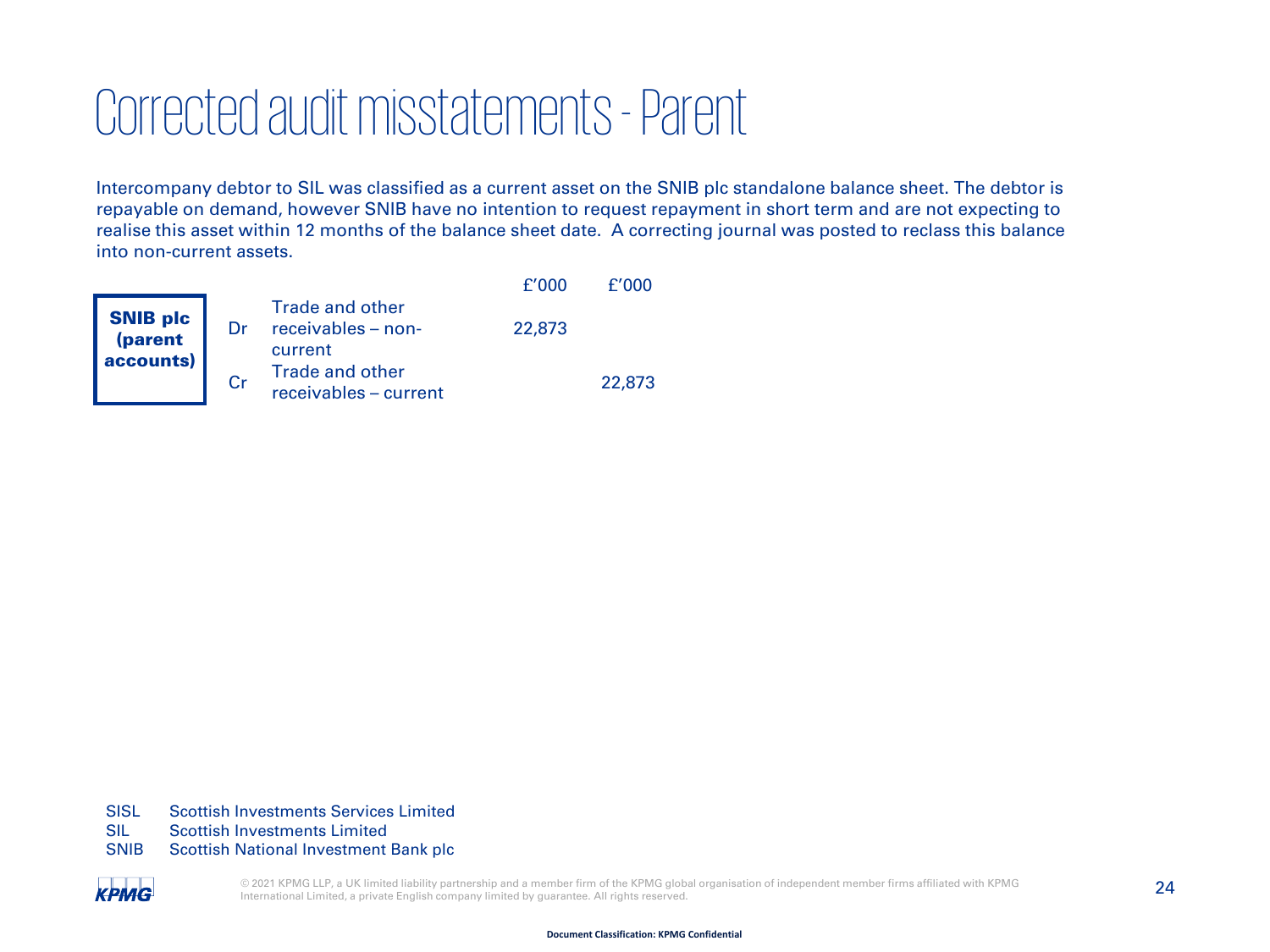### Corrected audit misstatements -Parent

Intercompany debtor to SIL was classified as a current asset on the SNIB plc standalone balance sheet. The debtor is repayable on demand, however SNIB have no intention to request repayment in short term and are not expecting to realise this asset within 12 months of the balance sheet date. A correcting journal was posted to reclass this balance into non-current assets.

|                                         |                                                         | f'000  | f'000  |
|-----------------------------------------|---------------------------------------------------------|--------|--------|
| <b>SNIB plc</b><br>(parent<br>accounts) | <b>Trade and other</b><br>receivables - non-<br>current | 22,873 |        |
|                                         | <b>Trade and other</b><br>receivables - current         |        | 22,873 |

SISL Scottish Investments Services Limited

- SIL Scottish Investments Limited
- SNIB Scottish National Investment Bank plc

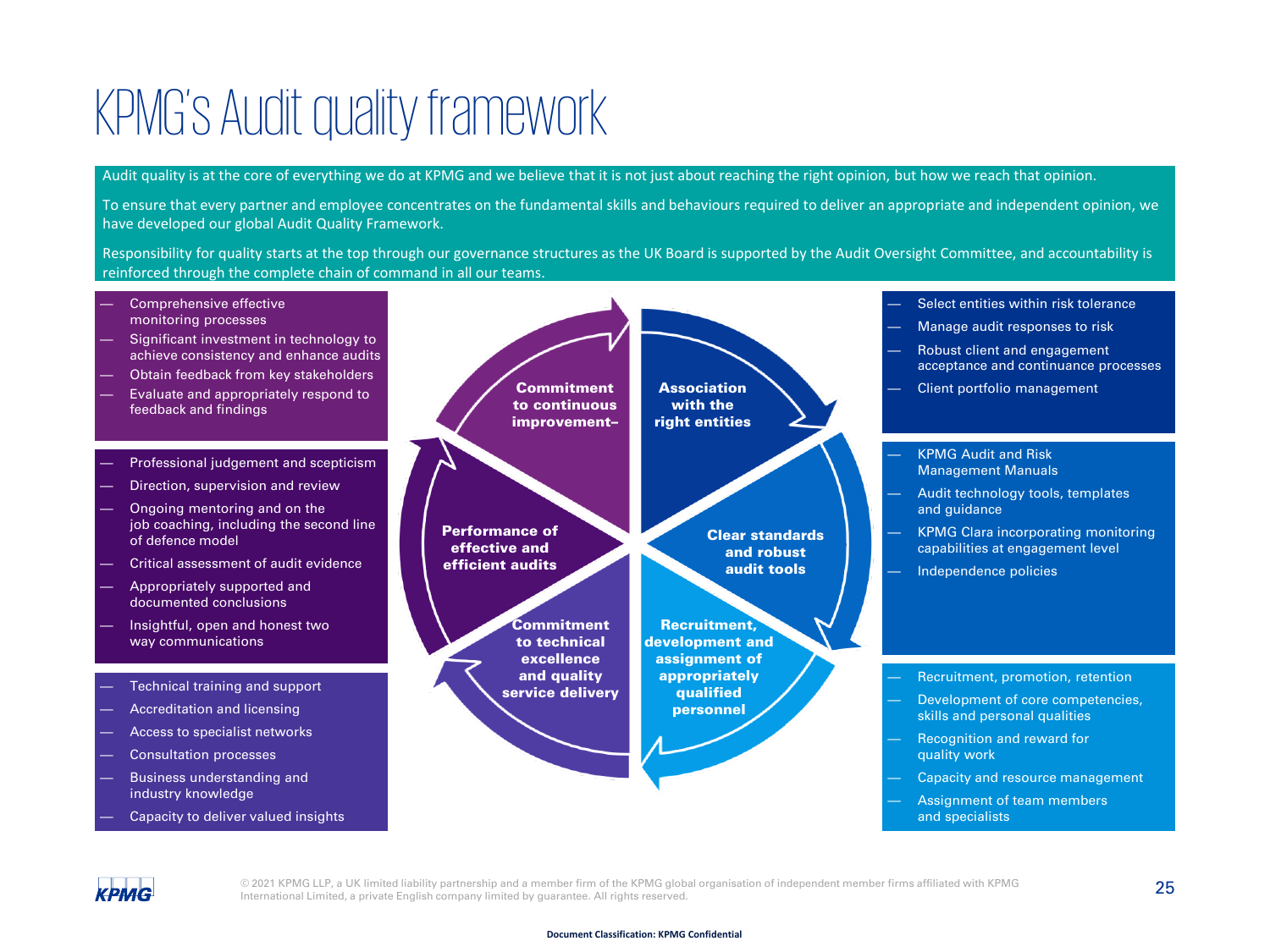### KPMG's Audit quality framework

Audit quality is at the core of everything we do at KPMG and we believe that it is not just about reaching the right opinion, but how we reach that opinion.

To ensure that every partner and employee concentrates on the fundamental skills and behaviours required to deliver an appropriate and independent opinion, we have developed our global Audit Quality Framework.

Responsibility for quality starts at the top through our governance structures as the UK Board is supported by the Audit Oversight Committee, and accountability is reinforced through the complete chain of command in all our teams.

Comprehensive effective monitoring processes — Significant investment in technology to achieve consistency and enhance audits — Obtain feedback from key stakeholders — Evaluate and appropriately respond to feedback and findings — Professional judgement and scepticism Direction, supervision and review — Ongoing mentoring and on the job coaching, including the second line of defence model — Critical assessment of audit evidence — Appropriately supported and documented conclusions — Insightful, open and honest two way communications — Technical training and support — Accreditation and licensing — Access to specialist networks Consultation processes — Business understanding and industry knowledge Capacity to deliver valued insights Select entities within risk tolerance — Manage audit responses to risk — Robust client and engagement acceptance and continuance processes — Client portfolio management — Recruitment, promotion, retention Development of core competencies, skills and personal qualities — Recognition and reward for quality work Capacity and resource management — Assignment of team members and specialists — KPMG Audit and Risk Management Manuals — Audit technology tools, templates and guidance — KPMG Clara incorporating monitoring capabilities at engagement level — Independence policies Commitment to continuous improvement– **Association** with the right entities Clear standards and robust audit tools Recruitment, development and assignment of appropriately qualified personnel Commitment to technical excellence and quality service delivery Performance of effective and efficient audits